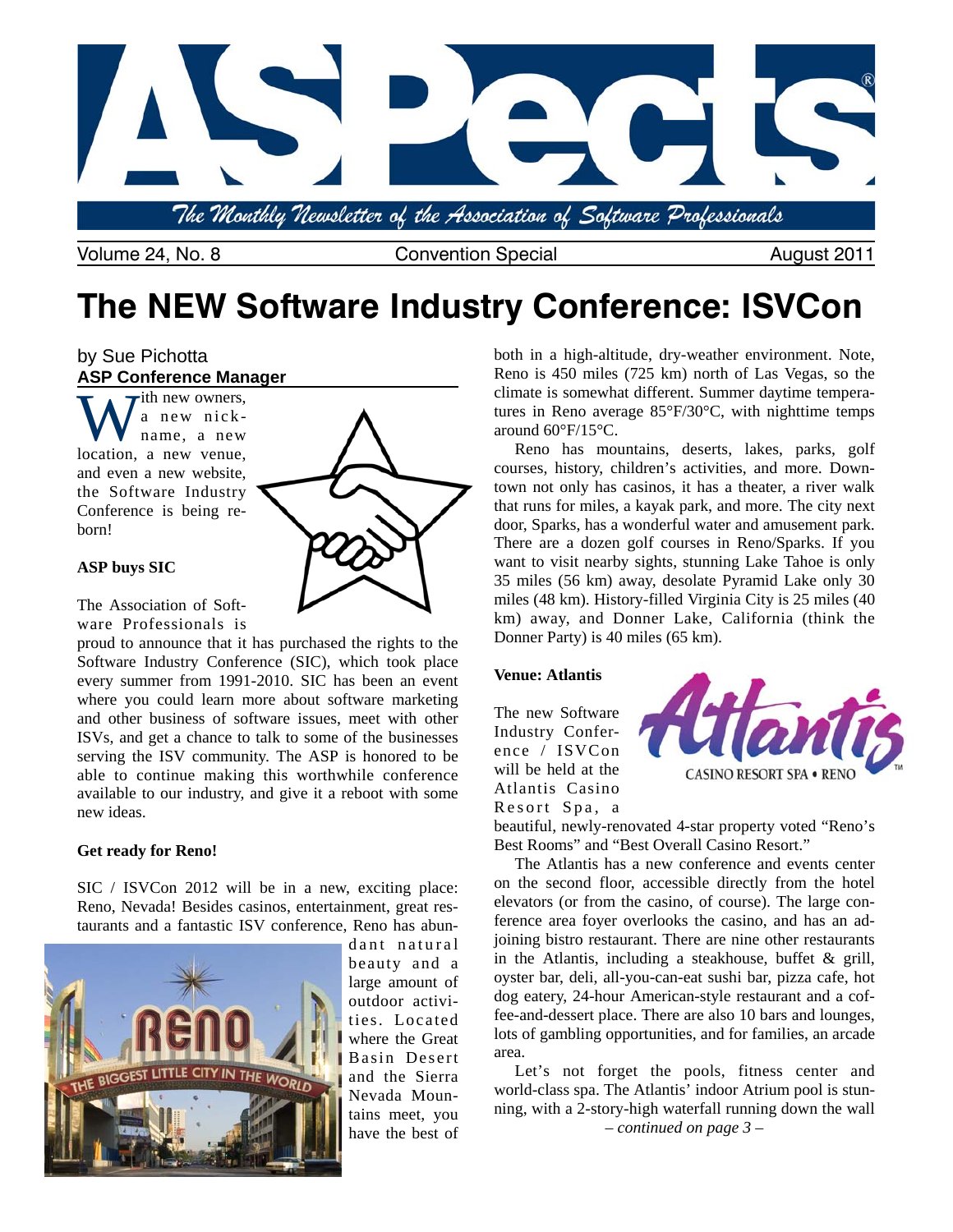

Volume 24, No. 8 Convention Special Convention Special August 2011

# **The NEW Software Industry Conference: ISVCon**

by Sue Pichotta **ASP Conference Manager**

W<sup>ith new owners,</sup><br>a new nick-<br>leastion a new wave a new nickname, a new location, a new venue, and even a new website, the Software Industry Conference is being reborn!



### **ASP buys SIC**

The Association of Software Professionals is

proud to announce that it has purchased the rights to the Software Industry Conference (SIC), which took place every summer from 1991-2010. SIC has been an event where you could learn more about software marketing and other business of software issues, meet with other ISVs, and get a chance to talk to some of the businesses serving the ISV community. The ASP is honored to be able to continue making this worthwhile conference available to our industry, and give it a reboot with some new ideas.

### **Get ready for Reno!**

SIC / ISVCon 2012 will be in a new, exciting place: Reno, Nevada! Besides casinos, entertainment, great restaurants and a fantastic ISV conference, Reno has abun-



dant natural beauty and a large amount of outdoor activities. Located where the Great Basin Desert and the Sierra Nevada Mountains meet, you have the best of both in a high-altitude, dry-weather environment. Note, Reno is 450 miles (725 km) north of Las Vegas, so the climate is somewhat different. Summer daytime temperatures in Reno average 85°F/30°C, with nighttime temps around 60°F/15°C.

Reno has mountains, deserts, lakes, parks, golf courses, history, children's activities, and more. Downtown not only has casinos, it has a theater, a river walk that runs for miles, a kayak park, and more. The city next door, Sparks, has a wonderful water and amusement park. There are a dozen golf courses in Reno/Sparks. If you want to visit nearby sights, stunning Lake Tahoe is only 35 miles (56 km) away, desolate Pyramid Lake only 30 miles (48 km). History-filled Virginia City is 25 miles (40 km) away, and Donner Lake, California (think the Donner Party) is 40 miles (65 km).

### **Venue: Atlantis**

The new Software Industry Conference / ISVCon will be held at the Atlantis Casino Resort Spa, a



beautiful, newly-renovated 4-star property voted "Reno's Best Rooms" and "Best Overall Casino Resort."

The Atlantis has a new conference and events center on the second floor, accessible directly from the hotel elevators (or from the casino, of course). The large conference area foyer overlooks the casino, and has an adjoining bistro restaurant. There are nine other restaurants in the Atlantis, including a steakhouse, buffet & grill, oyster bar, deli, all-you-can-eat sushi bar, pizza cafe, hot dog eatery, 24-hour American-style restaurant and a coffee-and-dessert place. There are also 10 bars and lounges, lots of gambling opportunities, and for families, an arcade area.

Let's not forget the pools, fitness center and world-class spa. The Atlantis' indoor Atrium pool is stunning, with a 2-story-high waterfall running down the wall *– continued on page 3 –*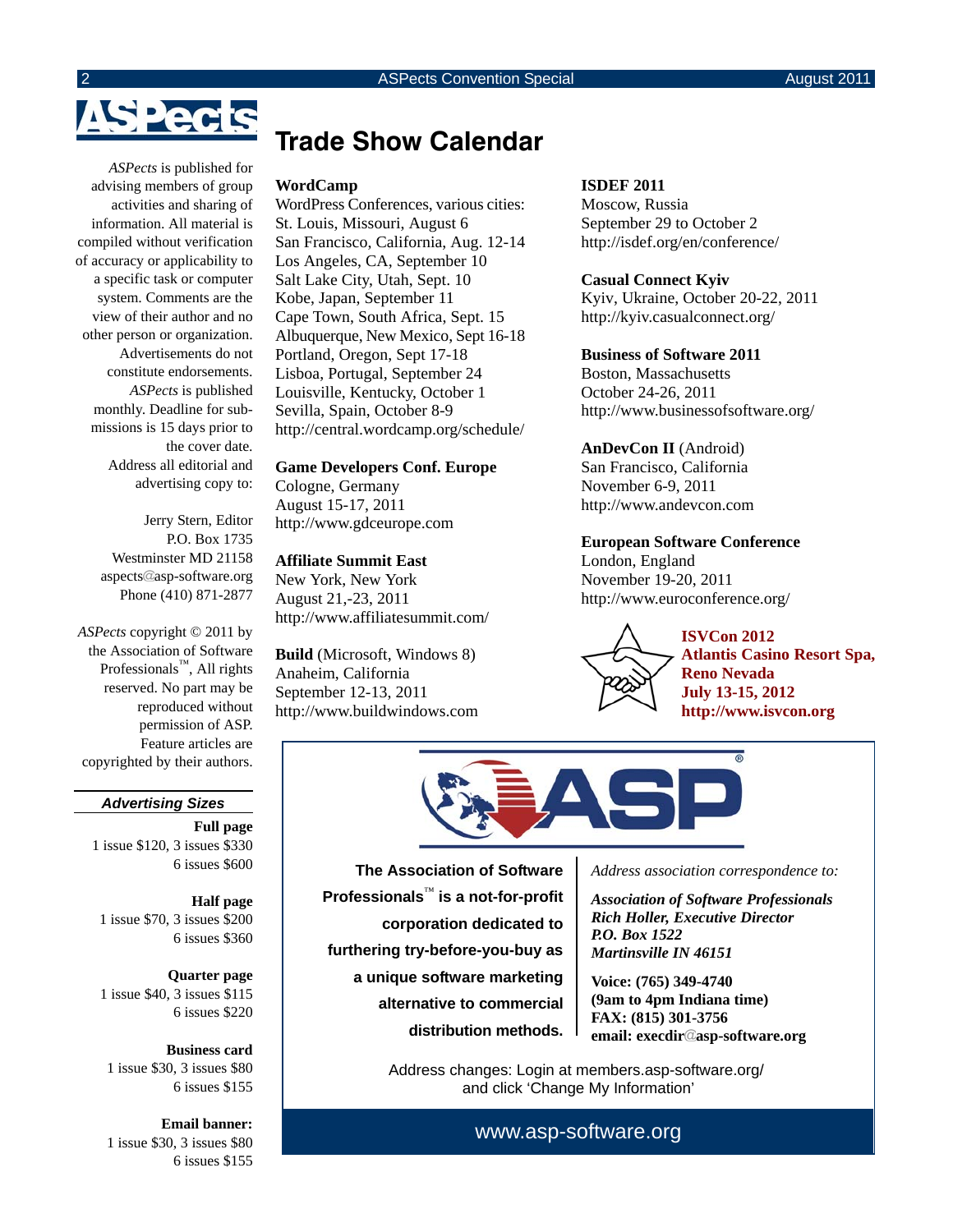# Pects

*ASPects* is published for advising members of group activities and sharing of information. All material is compiled without verification of accuracy or applicability to a specific task or computer system. Comments are the view of their author and no other person or organization. Advertisements do not constitute endorsements. *ASPects* is published monthly. Deadline for submissions is 15 days prior to the cover date. Address all editorial and advertising copy to:

> Jerry Stern, Editor P.O. Box 1735 Westminster MD 21158 aspects asp-software.org Phone (410) 871-2877

*ASPects* copyright © 2011 by the Association of Software Professionals<sup>™</sup>, All rights reserved. No part may be reproduced without permission of ASP. Feature articles are copyrighted by their authors.

### *Advertising Sizes*

**Full page** 1 issue \$120, 3 issues \$330 6 issues \$600

**Half page** 1 issue \$70, 3 issues \$200 6 issues \$360

**Quarter page** 1 issue \$40, 3 issues \$115 6 issues \$220

**Business card** 1 issue \$30, 3 issues \$80 6 issues \$155

**Email banner:** 1 issue \$30, 3 issues \$80 6 issues \$155

## **Trade Show Calendar**

#### **WordCamp**

WordPress Conferences, various cities: St. Louis, Missouri, August 6 San Francisco, California, Aug. 12-14 Los Angeles, CA, September 10 Salt Lake City, Utah, Sept. 10 Kobe, Japan, September 11 Cape Town, South Africa, Sept. 15 Albuquerque, New Mexico, Sept 16-18 Portland, Oregon, Sept 17-18 Lisboa, Portugal, September 24 Louisville, Kentucky, October 1 Sevilla, Spain, October 8-9 <http://central.wordcamp.org/schedule/>

#### **Game Developers Conf. Europe**

Cologne, Germany August 15-17, 2011 <http://www.gdceurope.com>

#### **Affiliate Summit East**

New York, New York August 21,-23, 2011 <http://www.affiliatesummit.com/>

**Build** (Microsoft, Windows 8) Anaheim, California September 12-13, 2011 <http://www.buildwindows.com>

#### **ISDEF 2011**

Moscow, Russia September 29 to October 2 <http://isdef.org/en/conference/>

#### **Casual Connect Kyiv**

Kyiv, Ukraine, October 20-22, 2011 <http://kyiv.casualconnect.org/>

### **Business of Software 2011**

Boston, Massachusetts October 24-26, 2011 <http://www.businessofsoftware.org/>

### **AnDevCon II** (Android)

San Francisco, California November 6-9, 2011 <http://www.andevcon.com>

### **European Software Conference**

London, England November 19-20, 2011 <http://www.euroconference.org/>





**The Association of Software Professionals**™ **is a not-for-profit corporation dedicated to furthering try-before-you-buy as a unique software marketing alternative to commercial distribution methods.** *Address association correspondence to:*

*Association of Software Professionals Rich Holler, Executive Director P.O. Box 1522 Martinsville IN 46151*

**Voice: (765) 349-4740 (9am to 4pm Indiana time) FAX: (815) 301-3756 email: execdir asp-software.org**

Address changes: Login at members.asp-software.org/ and click 'Change My Information'

### [www.asp-software.org](http://www.asp-software.org)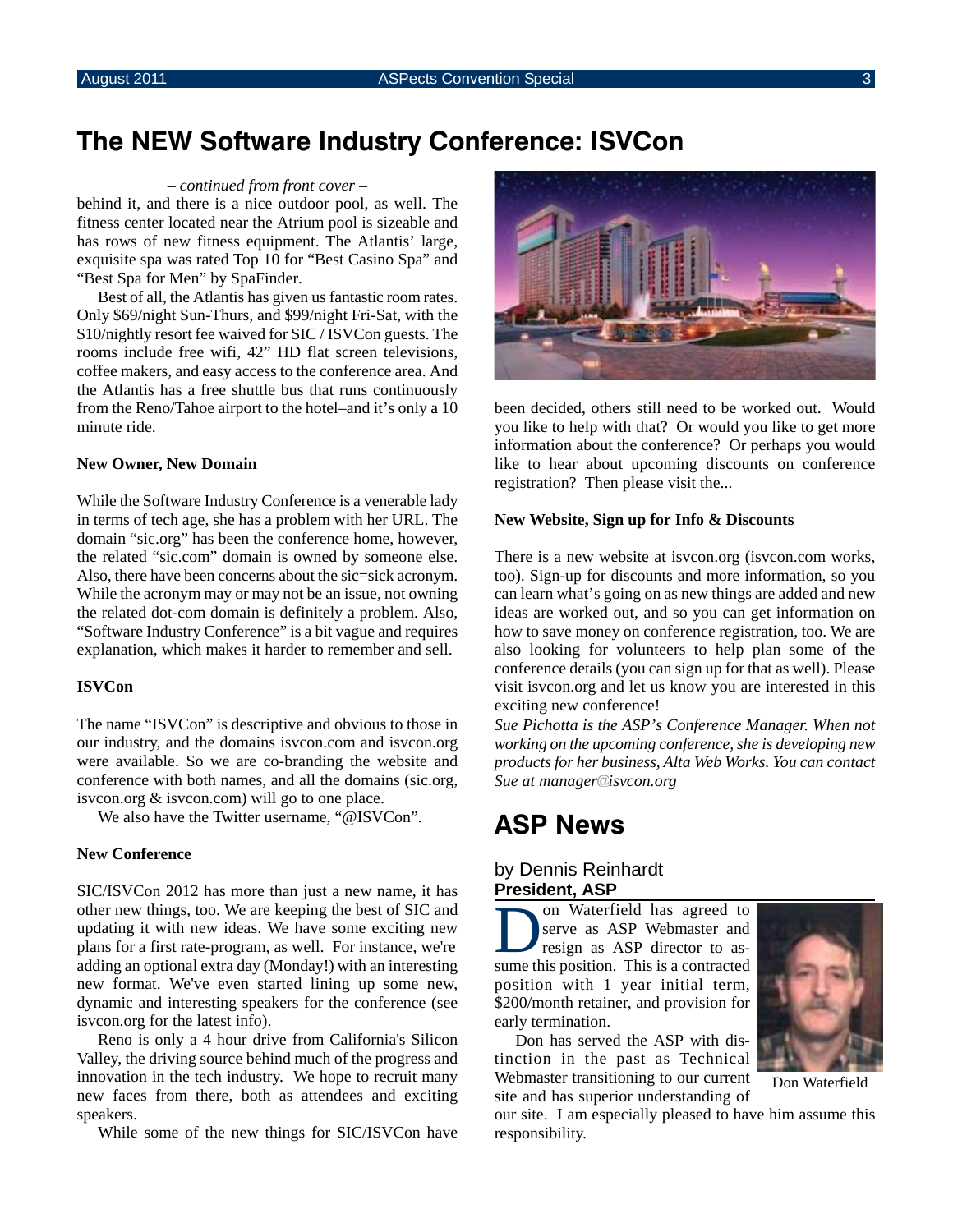## **The NEW Software Industry Conference: ISVCon**

### *– continued from front cover –*

behind it, and there is a nice outdoor pool, as well. The fitness center located near the Atrium pool is sizeable and has rows of new fitness equipment. The Atlantis' large, exquisite spa was rated Top 10 for "Best Casino Spa" and "Best Spa for Men" by SpaFinder.

Best of all, the Atlantis has given us fantastic room rates. Only \$69/night Sun-Thurs, and \$99/night Fri-Sat, with the \$10/nightly resort fee waived for SIC / ISVCon guests. The rooms include free wifi, 42" HD flat screen televisions, coffee makers, and easy access to the conference area. And the Atlantis has a free shuttle bus that runs continuously from the Reno/Tahoe airport to the hotel–and it's only a 10 minute ride.

#### **New Owner, New Domain**

While the Software Industry Conference is a venerable lady in terms of tech age, she has a problem with her URL. The domain "sic.org" has been the conference home, however, the related "sic.com" domain is owned by someone else. Also, there have been concerns about the sic=sick acronym. While the acronym may or may not be an issue, not owning the related dot-com domain is definitely a problem. Also, "Software Industry Conference" is a bit vague and requires explanation, which makes it harder to remember and sell.

### **ISVCon**

The name "ISVCon" is descriptive and obvious to those in our industry, and the domains isvcon.com and isvcon.org were available. So we are co-branding the website and conference with both names, and all the domains (sic.org, isvcon.org & isvcon.com) will go to one place.

We also have the Twitter username, "@ISVCon".

### **New Conference**

SIC/ISVCon 2012 has more than just a new name, it has other new things, too. We are keeping the best of SIC and updating it with new ideas. We have some exciting new plans for a first rate-program, as well. For instance, we're adding an optional extra day (Monday!) with an interesting new format. We've even started lining up some new, dynamic and interesting speakers for the conference (see isvcon.org for the latest info).

Reno is only a 4 hour drive from California's Silicon Valley, the driving source behind much of the progress and innovation in the tech industry. We hope to recruit many new faces from there, both as attendees and exciting speakers.

While some of the new things for SIC/ISVCon have



been decided, others still need to be worked out. Would you like to help with that? Or would you like to get more information about the conference? Or perhaps you would like to hear about upcoming discounts on conference registration? Then please visit the...

#### **New Website, Sign up for Info & Discounts**

There is a new website at isvcon.org (isvcon.com works, too). Sign-up for discounts and more information, so you can learn what's going on as new things are added and new ideas are worked out, and so you can get information on how to save money on conference registration, too. We are also looking for volunteers to help plan some of the conference details (you can sign up for that as well). Please visit isvcon.org and let us know you are interested in this exciting new conference!

*Sue Pichotta is the ASP's Conference Manager. When not working on the upcoming conference, she is developing new products for her business, Alta Web Works. You can contact Sue at manager isvcon.org*

## **ASP News**

### by Dennis Reinhardt **President, ASP**

on Waterfield has agreed to<br>resign as ASP Webmaster and<br>resign as ASP director to asserve as ASP Webmaster and resign as ASP director to assume this position. This is a contracted position with 1 year initial term, \$200/month retainer, and provision for early termination.

Don has served the ASP with distinction in the past as Technical Webmaster transitioning to our current site and has superior understanding of



Don Waterfield

our site. I am especially pleased to have him assume this responsibility.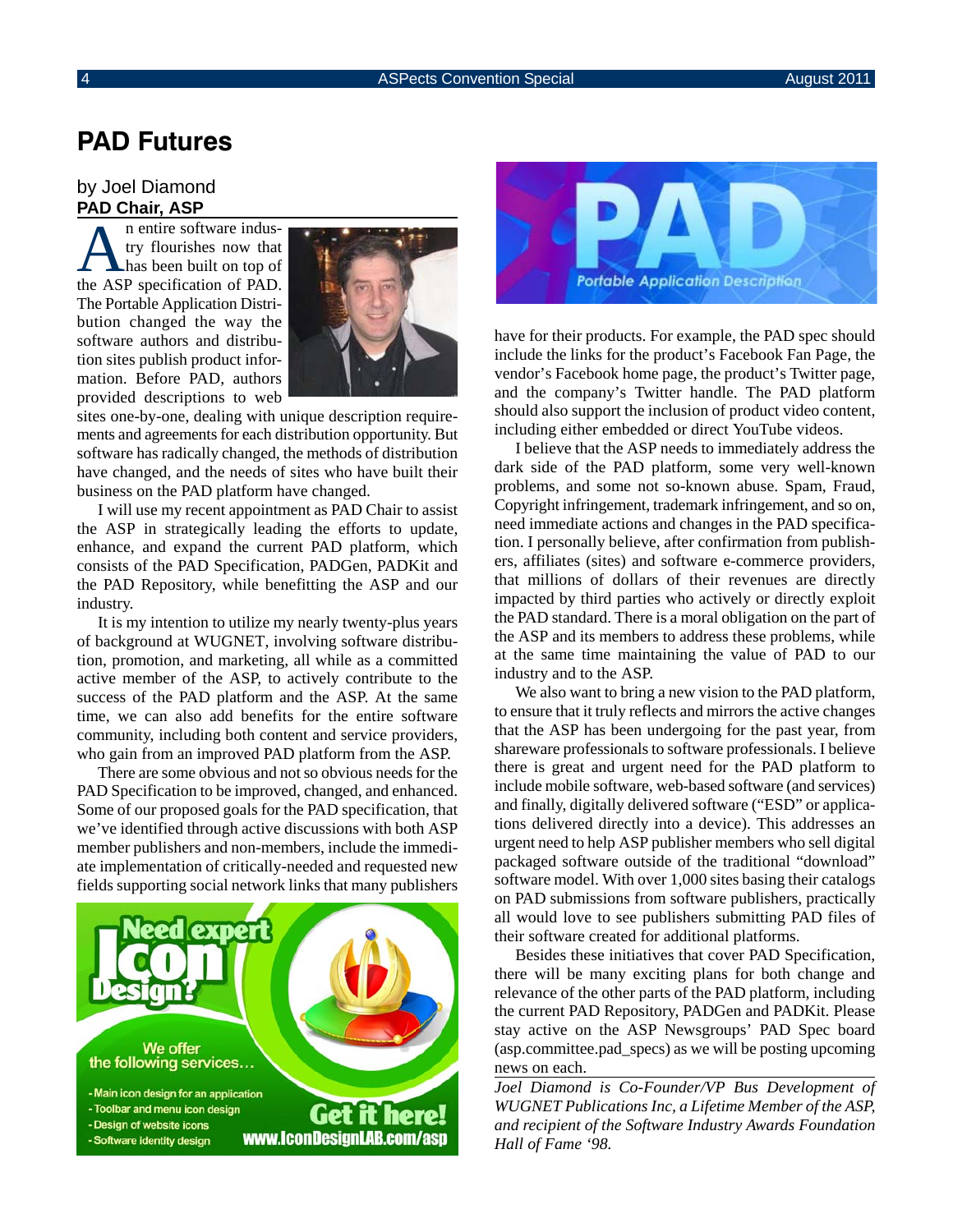## **PAD Futures**

### by Joel Diamond **PAD Chair, ASP**

**A** n entire software indus-<br>try flourishes now that<br>the ASB apperification of BAD try flourishes now that the ASP specification of PAD. The Portable Application Distribution changed the way the software authors and distribution sites publish product information. Before PAD, authors provided descriptions to web



sites one-by-one, dealing with unique description requirements and agreements for each distribution opportunity. But software has radically changed, the methods of distribution have changed, and the needs of sites who have built their business on the PAD platform have changed.

I will use my recent appointment as PAD Chair to assist the ASP in strategically leading the efforts to update, enhance, and expand the current PAD platform, which consists of the PAD Specification, PADGen, PADKit and the PAD Repository, while benefitting the ASP and our industry.

It is my intention to utilize my nearly twenty-plus years of background at WUGNET, involving software distribution, promotion, and marketing, all while as a committed active member of the ASP, to actively contribute to the success of the PAD platform and the ASP. At the same time, we can also add benefits for the entire software community, including both content and service providers, who gain from an improved PAD platform from the ASP.

There are some obvious and not so obvious needs for the PAD Specification to be improved, changed, and enhanced. Some of our proposed goals for the PAD specification, that we've identified through active discussions with both ASP member publishers and non-members, include the immediate implementation of critically-needed and requested new fields supporting social network links that many publishers





have for their products. For example, the PAD spec should include the links for the product's Facebook Fan Page, the vendor's Facebook home page, the product's Twitter page, and the company's Twitter handle. The PAD platform should also support the inclusion of product video content, including either embedded or direct YouTube videos.

I believe that the ASP needs to immediately address the dark side of the PAD platform, some very well-known problems, and some not so-known abuse. Spam, Fraud, Copyright infringement, trademark infringement, and so on, need immediate actions and changes in the PAD specification. I personally believe, after confirmation from publishers, affiliates (sites) and software e-commerce providers, that millions of dollars of their revenues are directly impacted by third parties who actively or directly exploit the PAD standard. There is a moral obligation on the part of the ASP and its members to address these problems, while at the same time maintaining the value of PAD to our industry and to the ASP.

We also want to bring a new vision to the PAD platform, to ensure that it truly reflects and mirrors the active changes that the ASP has been undergoing for the past year, from shareware professionals to software professionals. I believe there is great and urgent need for the PAD platform to include mobile software, web-based software (and services) and finally, digitally delivered software ("ESD" or applications delivered directly into a device). This addresses an urgent need to help ASP publisher members who sell digital packaged software outside of the traditional "download" software model. With over 1,000 sites basing their catalogs on PAD submissions from software publishers, practically all would love to see publishers submitting PAD files of their software created for additional platforms.

Besides these initiatives that cover PAD Specification, there will be many exciting plans for both change and relevance of the other parts of the PAD platform, including the current PAD Repository, PADGen and PADKit. Please stay active on the ASP Newsgroups' PAD Spec board (asp.committee.pad\_specs) as we will be posting upcoming news on each.

*Joel Diamond is Co-Founder/VP Bus Development of WUGNET Publications Inc, a Lifetime Member of the ASP, and recipient of the Software Industry Awards Foundation Hall of Fame '98.*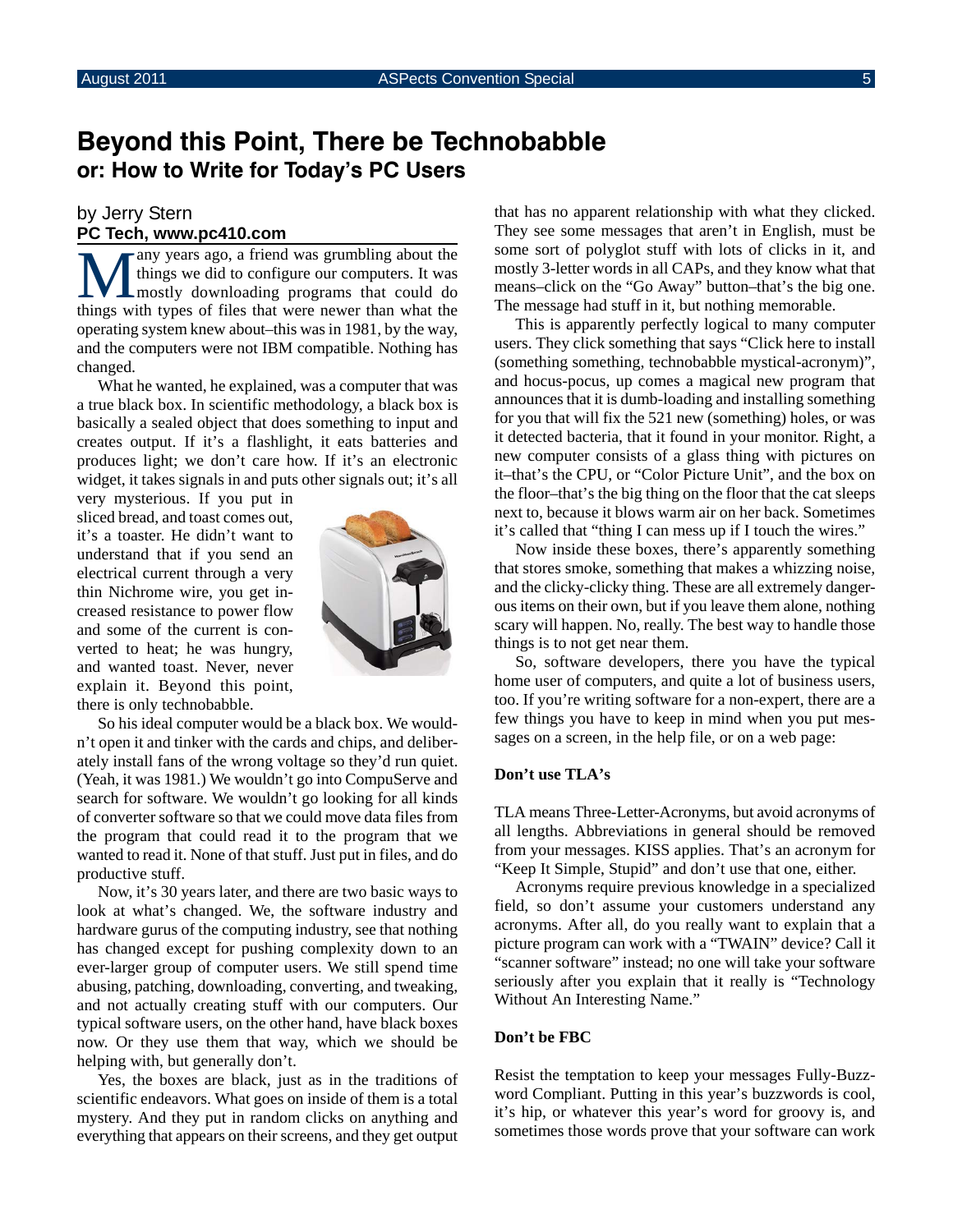## **Beyond this Point, There be Technobabble or: How to Write for Today's PC Users**

### by Jerry Stern **PC Tech, [www.pc410.com](http://www.pc410.com)**

**Many years ago, a friend was grumbling about the**<br>things we did to configure our computers. It was<br>things with tungs of files that were nower than what the things we did to configure our computers. It was things with types of files that were newer than what the operating system knew about–this was in 1981, by the way, and the computers were not IBM compatible. Nothing has changed.

What he wanted, he explained, was a computer that was a true black box. In scientific methodology, a black box is basically a sealed object that does something to input and creates output. If it's a flashlight, it eats batteries and produces light; we don't care how. If it's an electronic widget, it takes signals in and puts other signals out; it's all

very mysterious. If you put in sliced bread, and toast comes out, it's a toaster. He didn't want to understand that if you send an electrical current through a very thin Nichrome wire, you get increased resistance to power flow and some of the current is converted to heat; he was hungry, and wanted toast. Never, never explain it. Beyond this point, there is only technobabble.



So his ideal computer would be a black box. We wouldn't open it and tinker with the cards and chips, and deliberately install fans of the wrong voltage so they'd run quiet. (Yeah, it was 1981.) We wouldn't go into CompuServe and search for software. We wouldn't go looking for all kinds of converter software so that we could move data files from the program that could read it to the program that we wanted to read it. None of that stuff. Just put in files, and do productive stuff.

Now, it's 30 years later, and there are two basic ways to look at what's changed. We, the software industry and hardware gurus of the computing industry, see that nothing has changed except for pushing complexity down to an ever-larger group of computer users. We still spend time abusing, patching, downloading, converting, and tweaking, and not actually creating stuff with our computers. Our typical software users, on the other hand, have black boxes now. Or they use them that way, which we should be helping with, but generally don't.

Yes, the boxes are black, just as in the traditions of scientific endeavors. What goes on inside of them is a total mystery. And they put in random clicks on anything and everything that appears on their screens, and they get output

that has no apparent relationship with what they clicked. They see some messages that aren't in English, must be some sort of polyglot stuff with lots of clicks in it, and mostly 3-letter words in all CAPs, and they know what that means–click on the "Go Away" button–that's the big one. The message had stuff in it, but nothing memorable.

This is apparently perfectly logical to many computer users. They click something that says "Click here to install (something something, technobabble mystical-acronym)", and hocus-pocus, up comes a magical new program that announces that it is dumb-loading and installing something for you that will fix the 521 new (something) holes, or was it detected bacteria, that it found in your monitor. Right, a new computer consists of a glass thing with pictures on it–that's the CPU, or "Color Picture Unit", and the box on the floor–that's the big thing on the floor that the cat sleeps next to, because it blows warm air on her back. Sometimes it's called that "thing I can mess up if I touch the wires."

Now inside these boxes, there's apparently something that stores smoke, something that makes a whizzing noise, and the clicky-clicky thing. These are all extremely dangerous items on their own, but if you leave them alone, nothing scary will happen. No, really. The best way to handle those things is to not get near them.

So, software developers, there you have the typical home user of computers, and quite a lot of business users, too. If you're writing software for a non-expert, there are a few things you have to keep in mind when you put messages on a screen, in the help file, or on a web page:

### **Don't use TLA's**

TLA means Three-Letter-Acronyms, but avoid acronyms of all lengths. Abbreviations in general should be removed from your messages. KISS applies. That's an acronym for "Keep It Simple, Stupid" and don't use that one, either.

Acronyms require previous knowledge in a specialized field, so don't assume your customers understand any acronyms. After all, do you really want to explain that a picture program can work with a "TWAIN" device? Call it "scanner software" instead; no one will take your software seriously after you explain that it really is "Technology Without An Interesting Name."

### **Don't be FBC**

Resist the temptation to keep your messages Fully-Buzzword Compliant. Putting in this year's buzzwords is cool, it's hip, or whatever this year's word for groovy is, and sometimes those words prove that your software can work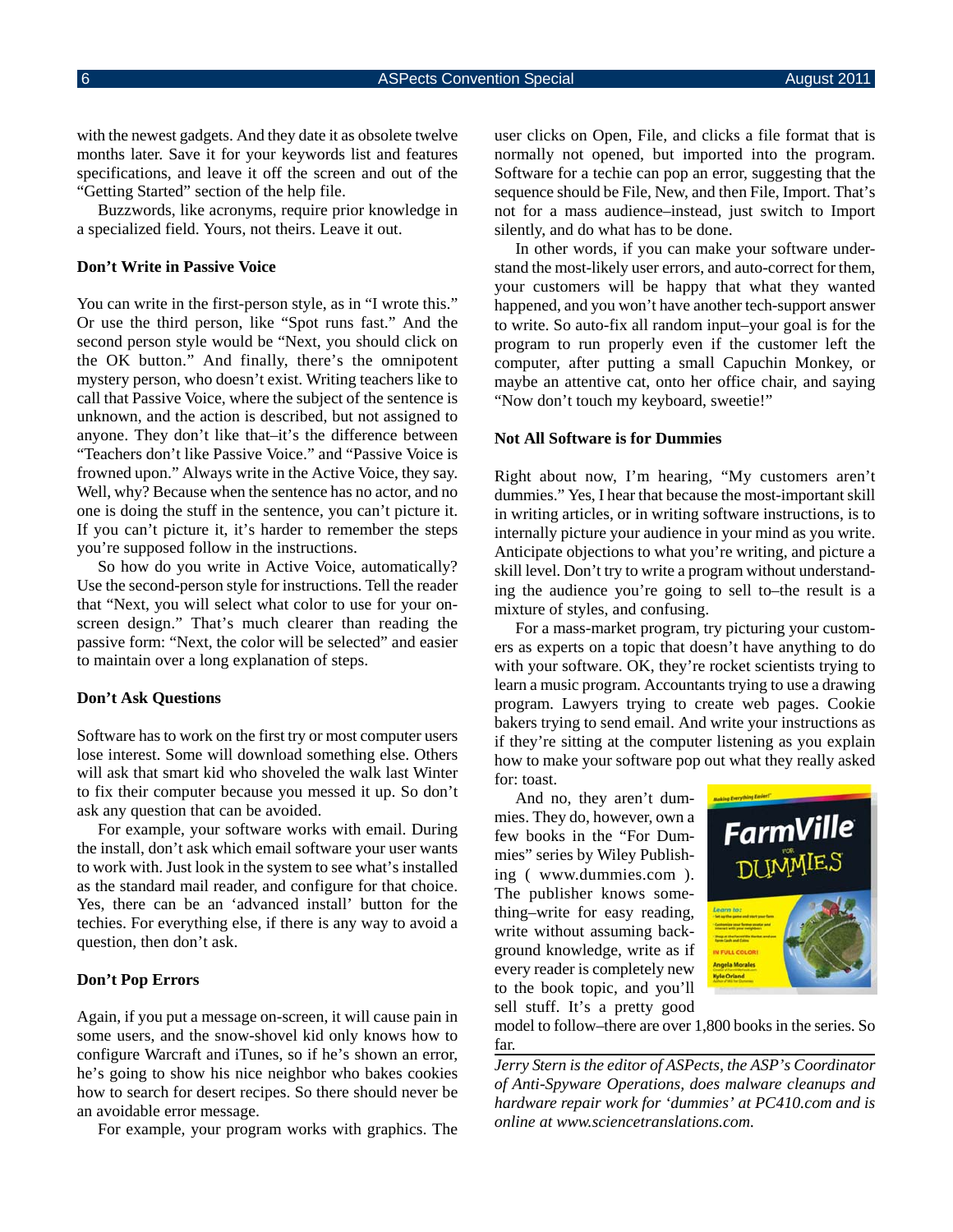with the newest gadgets. And they date it as obsolete twelve months later. Save it for your keywords list and features specifications, and leave it off the screen and out of the "Getting Started" section of the help file.

Buzzwords, like acronyms, require prior knowledge in a specialized field. Yours, not theirs. Leave it out.

### **Don't Write in Passive Voice**

You can write in the first-person style, as in "I wrote this." Or use the third person, like "Spot runs fast." And the second person style would be "Next, you should click on the OK button." And finally, there's the omnipotent mystery person, who doesn't exist. Writing teachers like to call that Passive Voice, where the subject of the sentence is unknown, and the action is described, but not assigned to anyone. They don't like that–it's the difference between "Teachers don't like Passive Voice." and "Passive Voice is frowned upon." Always write in the Active Voice, they say. Well, why? Because when the sentence has no actor, and no one is doing the stuff in the sentence, you can't picture it. If you can't picture it, it's harder to remember the steps you're supposed follow in the instructions.

So how do you write in Active Voice, automatically? Use the second-person style for instructions. Tell the reader that "Next, you will select what color to use for your onscreen design." That's much clearer than reading the passive form: "Next, the color will be selected" and easier to maintain over a long explanation of steps.

#### **Don't Ask Questions**

Software has to work on the first try or most computer users lose interest. Some will download something else. Others will ask that smart kid who shoveled the walk last Winter to fix their computer because you messed it up. So don't ask any question that can be avoided.

For example, your software works with email. During the install, don't ask which email software your user wants to work with. Just look in the system to see what's installed as the standard mail reader, and configure for that choice. Yes, there can be an 'advanced install' button for the techies. For everything else, if there is any way to avoid a question, then don't ask.

#### **Don't Pop Errors**

Again, if you put a message on-screen, it will cause pain in some users, and the snow-shovel kid only knows how to configure Warcraft and iTunes, so if he's shown an error, he's going to show his nice neighbor who bakes cookies how to search for desert recipes. So there should never be an avoidable error message.

For example, your program works with graphics. The

user clicks on Open, File, and clicks a file format that is normally not opened, but imported into the program. Software for a techie can pop an error, suggesting that the sequence should be File, New, and then File, Import. That's not for a mass audience–instead, just switch to Import silently, and do what has to be done.

In other words, if you can make your software understand the most-likely user errors, and auto-correct for them, your customers will be happy that what they wanted happened, and you won't have another tech-support answer to write. So auto-fix all random input–your goal is for the program to run properly even if the customer left the computer, after putting a small Capuchin Monkey, or maybe an attentive cat, onto her office chair, and saying "Now don't touch my keyboard, sweetie!"

### **Not All Software is for Dummies**

Right about now, I'm hearing, "My customers aren't dummies." Yes, I hear that because the most-important skill in writing articles, or in writing software instructions, is to internally picture your audience in your mind as you write. Anticipate objections to what you're writing, and picture a skill level. Don't try to write a program without understanding the audience you're going to sell to–the result is a mixture of styles, and confusing.

For a mass-market program, try picturing your customers as experts on a topic that doesn't have anything to do with your software. OK, they're rocket scientists trying to learn a music program. Accountants trying to use a drawing program. Lawyers trying to create web pages. Cookie bakers trying to send email. And write your instructions as if they're sitting at the computer listening as you explain how to make your software pop out what they really asked for: toast.

And no, they aren't dummies. They do, however, own a few books in the "For Dummies" series by Wiley Publishing ( [www.dummies.com \).](http://www.dummies.com) The publisher knows something–write for easy reading, write without assuming background knowledge, write as if every reader is completely new to the book topic, and you'll sell stuff. It's a pretty good



model to follow–there are over 1,800 books in the series. So far.

*Jerry Stern is the editor of ASPects, the ASP's Coordinator of Anti-Spyware Operations, does malware cleanups and hardware repair work for 'dummies' [at PC410.com a](http://www.pc410.com)nd is online at [www.sciencetranslations.com.](http://www.sciencetranslations.com)*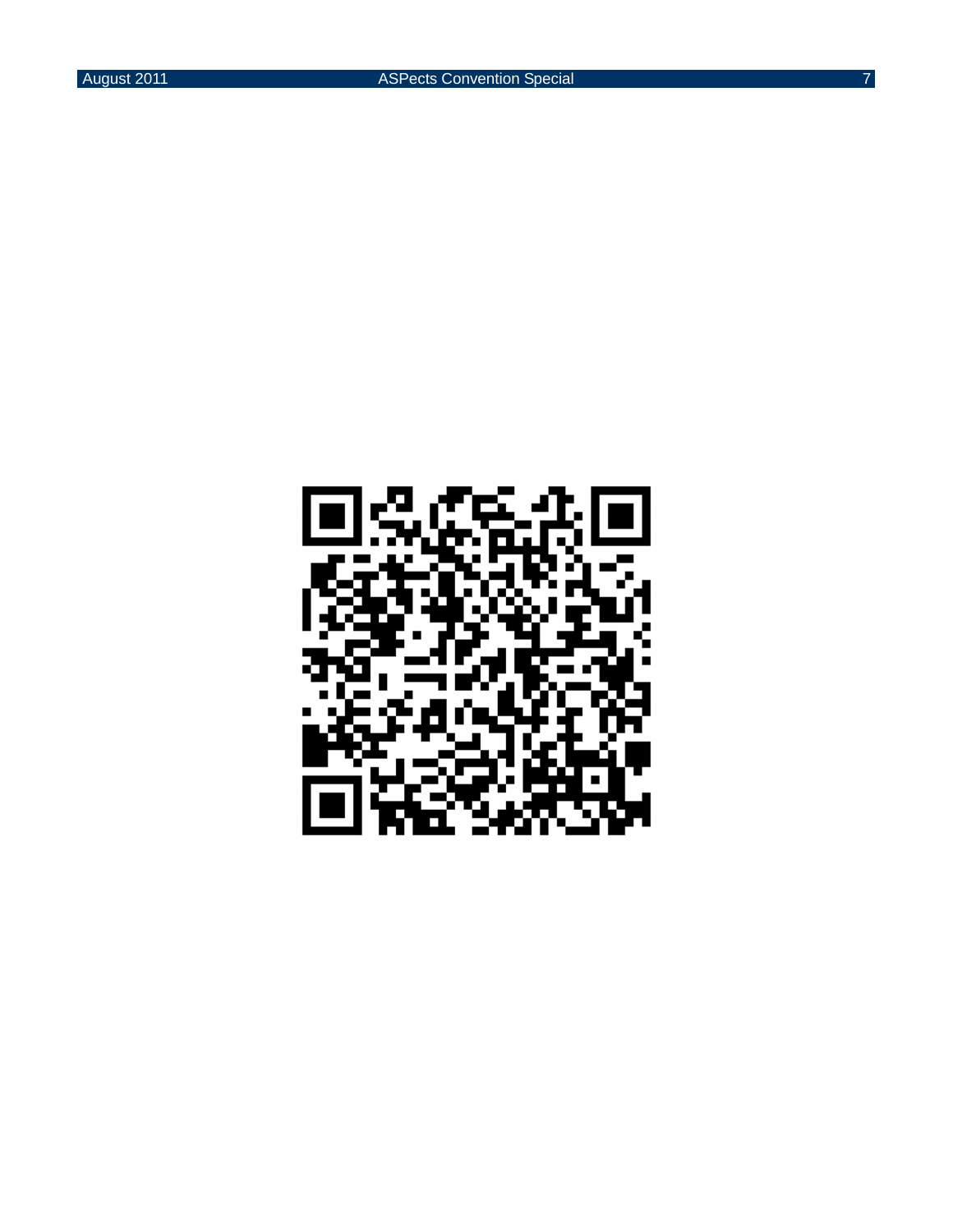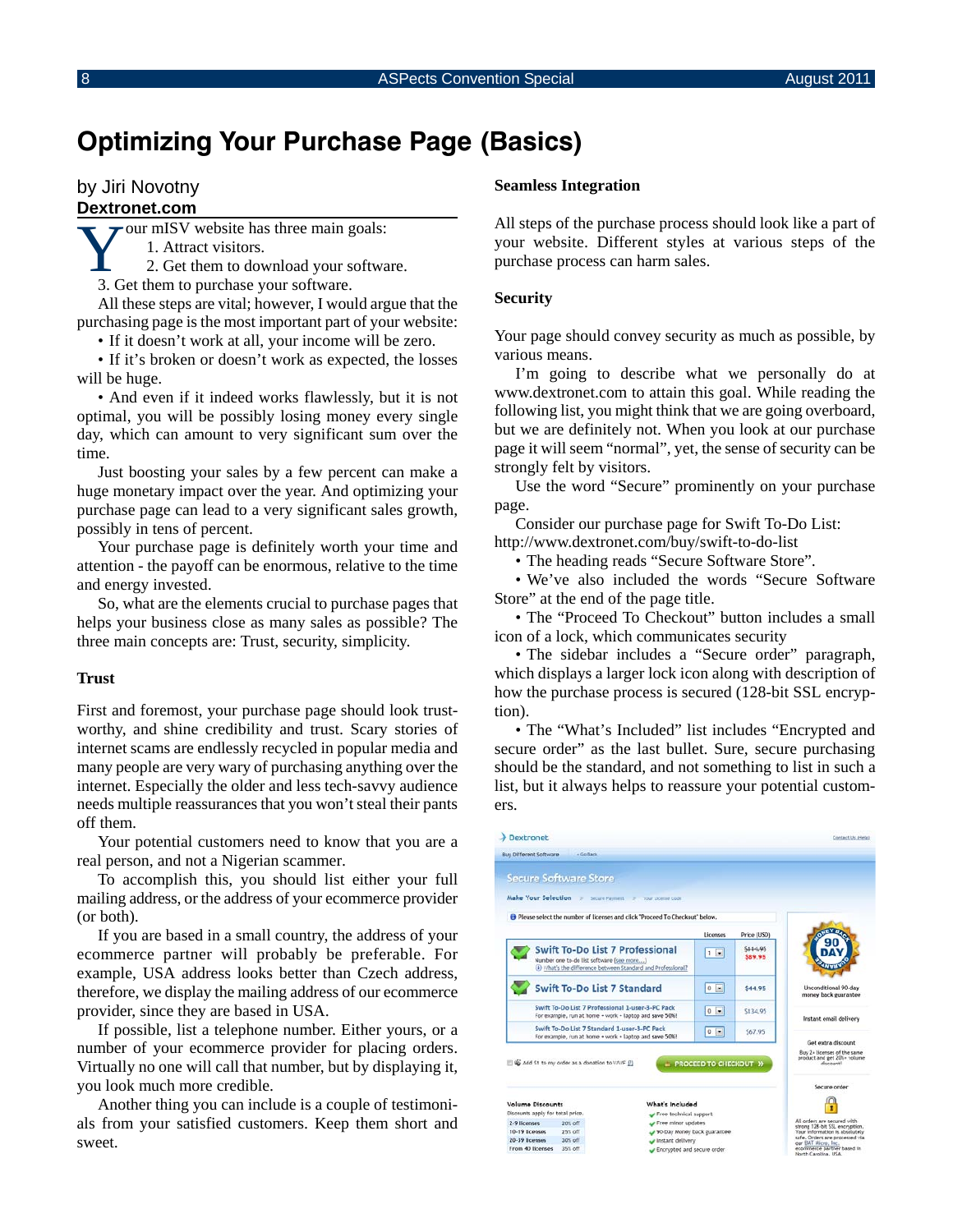## **Optimizing Your Purchase Page (Basics)**

by Jiri Novotny **[Dextronet.com](http://www.dextronet.com)**

> Your mISV website has three main goals: 1. Attract visitors.

2. Get them to download your software.

3. Get them to purchase your software.

All these steps are vital; however, I would argue that the purchasing page is the most important part of your website:

• If it doesn't work at all, your income will be zero.

• If it's broken or doesn't work as expected, the losses will be huge.

• And even if it indeed works flawlessly, but it is not optimal, you will be possibly losing money every single day, which can amount to very significant sum over the time.

Just boosting your sales by a few percent can make a huge monetary impact over the year. And optimizing your purchase page can lead to a very significant sales growth, possibly in tens of percent.

Your purchase page is definitely worth your time and attention - the payoff can be enormous, relative to the time and energy invested.

So, what are the elements crucial to purchase pages that helps your business close as many sales as possible? The three main concepts are: Trust, security, simplicity.

#### **Trust**

First and foremost, your purchase page should look trustworthy, and shine credibility and trust. Scary stories of internet scams are endlessly recycled in popular media and many people are very wary of purchasing anything over the internet. Especially the older and less tech-savvy audience needs multiple reassurances that you won't steal their pants off them.

Your potential customers need to know that you are a real person, and not a Nigerian scammer.

To accomplish this, you should list either your full mailing address, or the address of your ecommerce provider (or both).

If you are based in a small country, the address of your ecommerce partner will probably be preferable. For example, USA address looks better than Czech address, therefore, we display the mailing address of our ecommerce provider, since they are based in USA.

If possible, list a telephone number. Either yours, or a number of your ecommerce provider for placing orders. Virtually no one will call that number, but by displaying it, you look much more credible.

Another thing you can include is a couple of testimonials from your satisfied customers. Keep them short and sweet.

### **Seamless Integration**

All steps of the purchase process should look like a part of your website. Different styles at various steps of the purchase process can harm sales.

#### **Security**

Your page should convey security as much as possible, by various means.

I'm going to describe what we personally do at [www.dextronet.com to](http://www.dextronet.com) attain this goal. While reading the following list, you might think that we are going overboard, but we are definitely not. When you look at our purchase page it will seem "normal", yet, the sense of security can be strongly felt by visitors.

Use the word "Secure" prominently on your purchase page.

Consider our purchase page for Swift To-Do List: <http://www.dextronet.com/buy/swift-to-do-list>

• The heading reads "Secure Software Store".

• We've also included the words "Secure Software Store" at the end of the page title.

• The "Proceed To Checkout" button includes a small icon of a lock, which communicates security

• The sidebar includes a "Secure order" paragraph, which displays a larger lock icon along with description of how the purchase process is secured (128-bit SSL encryption).

• The "What's Included" list includes "Encrypted and secure order" as the last bullet. Sure, secure purchasing should be the standard, and not something to list in such a list, but it always helps to reassure your potential customers.

| <b>Buy Different Software</b>                                                                                                                                                                                        | « Go Back                                        |                                                                                                        |                                           |                     |                                                                                                 |
|----------------------------------------------------------------------------------------------------------------------------------------------------------------------------------------------------------------------|--------------------------------------------------|--------------------------------------------------------------------------------------------------------|-------------------------------------------|---------------------|-------------------------------------------------------------------------------------------------|
|                                                                                                                                                                                                                      | <b>Secure Software Store</b>                     |                                                                                                        |                                           |                     |                                                                                                 |
| Make Your Selection                                                                                                                                                                                                  | Secure Payment 2                                 | Your License Code                                                                                      |                                           |                     |                                                                                                 |
|                                                                                                                                                                                                                      |                                                  | <sup>1</sup> Please select the number of licenses and click "Proceed To Checkout" below.               |                                           |                     |                                                                                                 |
|                                                                                                                                                                                                                      |                                                  |                                                                                                        | Licenses                                  | Price (USD)         |                                                                                                 |
|                                                                                                                                                                                                                      | Number one to-do list software (see more)        | <b>Swift To-Do List 7 Professional</b><br>(4) What's the difference between Standard and Professional? | $1 - 2$                                   | \$114.95<br>\$89.95 |                                                                                                 |
|                                                                                                                                                                                                                      | <b>Swift To-Do List 7 Standard</b>               |                                                                                                        | $\overline{a}$<br>0                       | \$44.95             | Unconditional 90-day<br>money back guarantee                                                    |
| Swift To-Do List 7 Professional 1-user-3-PC Pack<br>For example, run at home - work - laptop and save 50%!<br>Swift To-Do List 7 Standard 1-user-3-PC Pack<br>For example, run at home + work + laptop and save 50%! |                                                  |                                                                                                        | $\theta$<br>$\frac{1}{2}$                 | \$134.95            | Instant email delivery                                                                          |
|                                                                                                                                                                                                                      |                                                  |                                                                                                        | $\bf{0}$<br>$\left  \cdot \right $        | \$67.95             |                                                                                                 |
|                                                                                                                                                                                                                      | We Add 51 to my order as a donation to VAVIF (?) |                                                                                                        | <b>PROCEED TO CHECKOUT »</b>              |                     | Get extra discount<br>Buy 2+ licenses of the same<br>product and get 20%» volume<br>discount!   |
|                                                                                                                                                                                                                      |                                                  |                                                                                                        |                                           |                     | Secure order                                                                                    |
| <b>Volume Discounts</b><br>Discounts apply for total price.                                                                                                                                                          |                                                  |                                                                                                        | What's Included<br>Free technical support |                     |                                                                                                 |
| 2-9 licenses                                                                                                                                                                                                         | 20% off                                          | Free minor updates                                                                                     |                                           |                     | All orders are secured with<br>strong 128-bit SSL encryption.<br>Your information is absolutely |
| 10-19 licenses                                                                                                                                                                                                       | $25%$ off                                        | SO-Day Money back guarantee<br>Instant delivery                                                        |                                           |                     |                                                                                                 |
| 20-39 licenses                                                                                                                                                                                                       | $305$ off                                        |                                                                                                        |                                           |                     | safe. Orders are processed via.<br>our BMT Micro, Inc.                                          |
| From 40 licenses                                                                                                                                                                                                     | 35% off                                          | Finanypted and secure order                                                                            |                                           |                     | ecommerce partner based in<br>North Carolina, USA.                                              |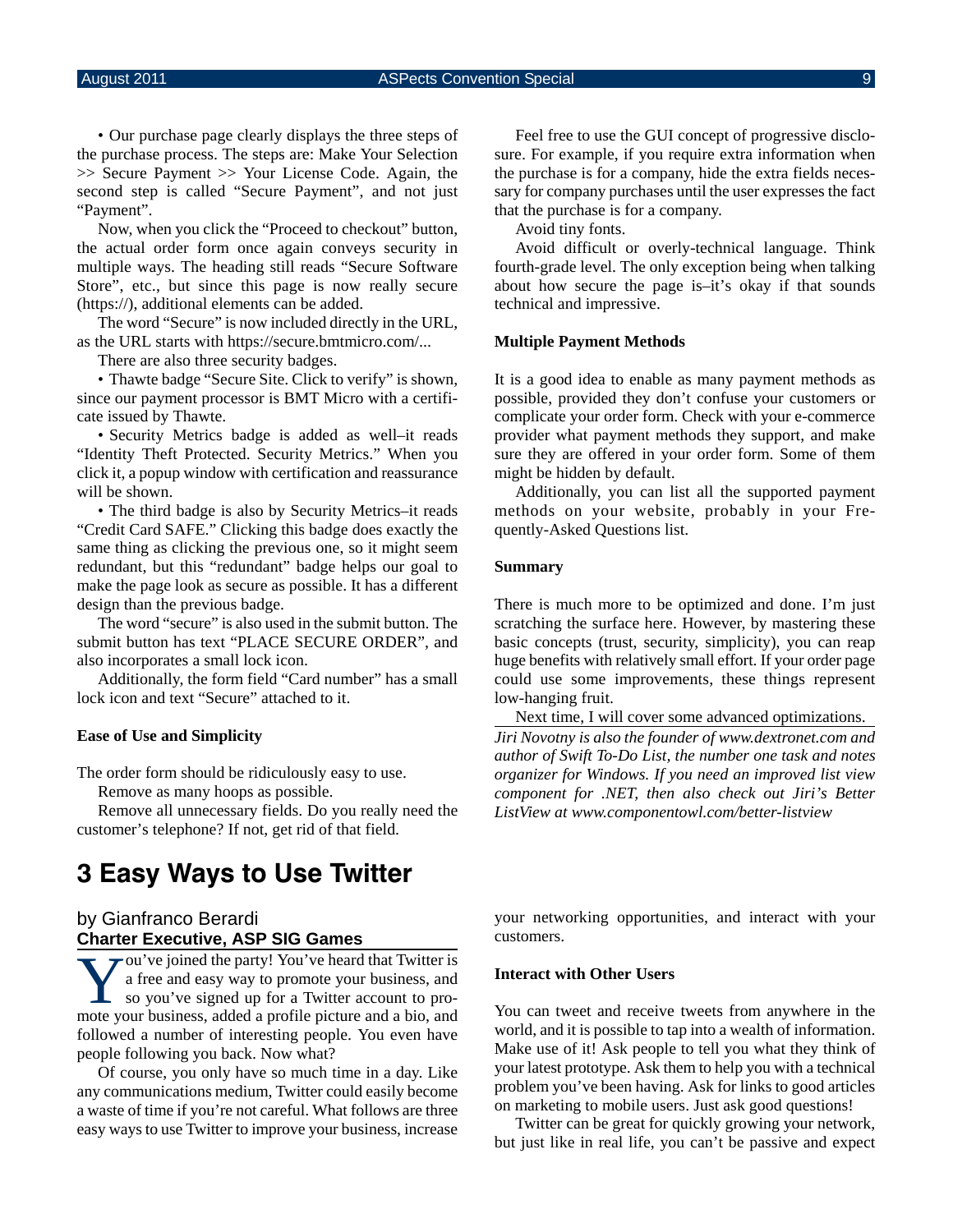• Our purchase page clearly displays the three steps of the purchase process. The steps are: Make Your Selection >> Secure Payment >> Your License Code. Again, the second step is called "Secure Payment", and not just "Payment".

Now, when you click the "Proceed to checkout" button, the actual order form once again conveys security in multiple ways. The heading still reads "Secure Software Store", etc., but since this page is now really secure (https://), additional elements can be added.

The word "Secure" is now included directly in the URL, as the URL starts with [https://secure.bmtmicro.com/...](https://secure.bmtmicro.com/)

There are also three security badges.

• Thawte badge "Secure Site. Click to verify" is shown, since our payment processor is BMT Micro with a certificate issued by Thawte.

• Security Metrics badge is added as well–it reads "Identity Theft Protected. Security Metrics." When you click it, a popup window with certification and reassurance will be shown.

• The third badge is also by Security Metrics–it reads "Credit Card SAFE." Clicking this badge does exactly the same thing as clicking the previous one, so it might seem redundant, but this "redundant" badge helps our goal to make the page look as secure as possible. It has a different design than the previous badge.

The word "secure" is also used in the submit button. The submit button has text "PLACE SECURE ORDER", and also incorporates a small lock icon.

Additionally, the form field "Card number" has a small lock icon and text "Secure" attached to it.

### **Ease of Use and Simplicity**

The order form should be ridiculously easy to use.

Remove as many hoops as possible.

Remove all unnecessary fields. Do you really need the customer's telephone? If not, get rid of that field.

## **3 Easy Ways to Use Twitter**

### by Gianfranco Berardi **Charter Executive, ASP SIG Games**

You've joined the party! You've heard that Twitter is a free and easy way to promote your business, and so you've signed up for a Twitter account to promote your business, added a profile picture and a bio, and followed a number of interesting people. You even have people following you back. Now what?

Of course, you only have so much time in a day. Like any communications medium, Twitter could easily become a waste of time if you're not careful. What follows are three easy ways to use Twitter to improve your business, increase

Feel free to use the GUI concept of progressive disclosure. For example, if you require extra information when the purchase is for a company, hide the extra fields necessary for company purchases until the user expresses the fact that the purchase is for a company.

Avoid tiny fonts.

Avoid difficult or overly-technical language. Think fourth-grade level. The only exception being when talking about how secure the page is–it's okay if that sounds technical and impressive.

### **Multiple Payment Methods**

It is a good idea to enable as many payment methods as possible, provided they don't confuse your customers or complicate your order form. Check with your e-commerce provider what payment methods they support, and make sure they are offered in your order form. Some of them might be hidden by default.

Additionally, you can list all the supported payment methods on your website, probably in your Frequently-Asked Questions list.

### **Summary**

There is much more to be optimized and done. I'm just scratching the surface here. However, by mastering these basic concepts (trust, security, simplicity), you can reap huge benefits with relatively small effort. If your order page could use some improvements, these things represent low-hanging fruit.

Next time, I will cover some advanced optimizations.

*Jiri Novotny is also the founder of [www.dextronet.com an](http://www.dextronet.com)d author of Swift To-Do List, the number one task and notes organizer for Windows. If you need an improved list view component for .NET, then also check out Jiri's Better ListView at [www.componentowl.com/better-listview](http://www.componentowl.com/better-listview)*

your networking opportunities, and interact with your customers.

### **Interact with Other Users**

You can tweet and receive tweets from anywhere in the world, and it is possible to tap into a wealth of information. Make use of it! Ask people to tell you what they think of your latest prototype. Ask them to help you with a technical problem you've been having. Ask for links to good articles on marketing to mobile users. Just ask good questions!

Twitter can be great for quickly growing your network, but just like in real life, you can't be passive and expect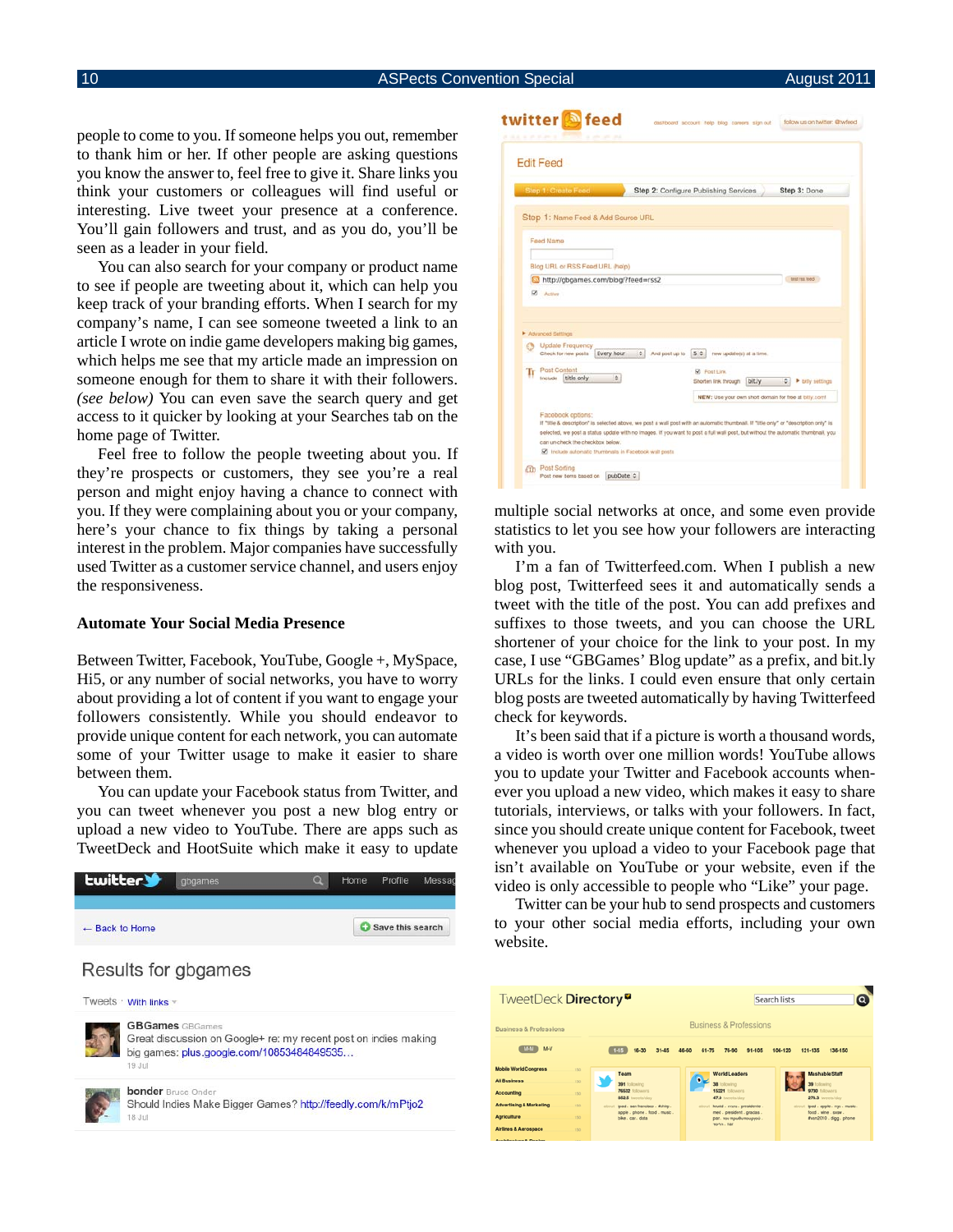$............$ Beach

people to come to you. If someone helps you out, remember to thank him or her. If other people are asking questions you know the answer to, feel free to give it. Share links you think your customers or colleagues will find useful or interesting. Live tweet your presence at a conference. You'll gain followers and trust, and as you do, you'll be seen as a leader in your field.

You can also search for your company or product name to see if people are tweeting about it, which can help you keep track of your branding efforts. When I search for my company's name, I can see someone tweeted a link to an article I wrote on indie game developers making big games, which helps me see that my article made an impression on someone enough for them to share it with their followers. *(see below)* You can even save the search query and get access to it quicker by looking at your Searches tab on the home page of Twitter.

Feel free to follow the people tweeting about you. If they're prospects or customers, they see you're a real person and might enjoy having a chance to connect with you. If they were complaining about you or your company, here's your chance to fix things by taking a personal interest in the problem. Major companies have successfully used Twitter as a customer service channel, and users enjoy the responsiveness.

#### **Automate Your Social Media Presence**

Between Twitter, Facebook, YouTube, Google +, MySpace, Hi5, or any number of social networks, you have to worry about providing a lot of content if you want to engage your followers consistently. While you should endeavor to provide unique content for each network, you can automate some of your Twitter usage to make it easier to share between them.

You can update your Facebook status from Twitter, and you can tweet whenever you post a new blog entry or upload a new video to YouTube. There are apps such as TweetDeck and HootSuite which make it easy to update



|   | <b>Edit Feed</b>                                             |                                                                                                                                       |                  |
|---|--------------------------------------------------------------|---------------------------------------------------------------------------------------------------------------------------------------|------------------|
|   | Step 1: Create Feed                                          | Step 2: Configure Publishing Services                                                                                                 | Step 3: Done     |
|   | Step 1: Name Feed & Add Source URL                           |                                                                                                                                       |                  |
|   | Feed Name                                                    |                                                                                                                                       |                  |
|   | Blog URL or RSS Feed URL (help)                              |                                                                                                                                       |                  |
|   | http://gbgames.com/blog/?feed=rss2                           |                                                                                                                                       | test ras tood    |
| ø |                                                              |                                                                                                                                       |                  |
|   | Activo                                                       |                                                                                                                                       |                  |
|   |                                                              |                                                                                                                                       |                  |
|   |                                                              |                                                                                                                                       |                  |
|   |                                                              |                                                                                                                                       |                  |
|   | Advanced Settings                                            |                                                                                                                                       |                  |
|   | <b>Update Frequency</b><br>Every hour<br>Check for new posts | ۰<br>And post up to<br>5C<br>new update(s) at a time.                                                                                 |                  |
|   | <b>Post Content</b>                                          | <b>SB</b> Post Link                                                                                                                   |                  |
|   | title only<br>$\frac{1}{2}$<br>Include                       | bit.ly 0<br>Shorten link through                                                                                                      | b bitly settings |
|   |                                                              | NEW: Use your own short domain for free at bitly.comf                                                                                 |                  |
|   | Facebook options:                                            |                                                                                                                                       |                  |
|   |                                                              | If "title & description" is selected above, we post a wall post with an automatic thumbnall. If "title only" or "description only" is |                  |
|   | can un check the checkbox below.                             | selected, we post a status update with no images. If you want to post a full wall post, but without the automatic thumbnail, you      |                  |
|   | 60 Include automatic thumbrishs in Facebook wall posts.      |                                                                                                                                       |                  |

multiple social networks at once, and some even provide statistics to let you see how your followers are interacting with you.

I'm a fan of Twitterfeed.com. When I publish a new blog post, Twitterfeed sees it and automatically sends a tweet with the title of the post. You can add prefixes and suffixes to those tweets, and you can choose the URL shortener of your choice for the link to your post. In my case, I use "GBGames' Blog update" as a prefix, and bit.ly URLs for the links. I could even ensure that only certain blog posts are tweeted automatically by having Twitterfeed check for keywords.

It's been said that if a picture is worth a thousand words, a video is worth over one million words! YouTube allows you to update your Twitter and Facebook accounts whenever you upload a new video, which makes it easy to share tutorials, interviews, or talks with your followers. In fact, since you should create unique content for Facebook, tweet whenever you upload a video to your Facebook page that isn't available on YouTube or your website, even if the video is only accessible to people who "Like" your page.

Twitter can be your hub to send prospects and customers to your other social media efforts, including your own website.

| TweetDeck Directory <sup>®</sup>                                     |                                                                                                            | Search lists                                                                                                                                                   |  |  |  |
|----------------------------------------------------------------------|------------------------------------------------------------------------------------------------------------|----------------------------------------------------------------------------------------------------------------------------------------------------------------|--|--|--|
| <b>Business &amp; Professions</b>                                    |                                                                                                            | <b>Business &amp; Professions</b>                                                                                                                              |  |  |  |
| <b>MV</b>                                                            | $16 - 30$<br>$31 - 45$<br>-15                                                                              | 46-60<br>61-75<br>91-105<br>106-120<br>136-150<br>76-50<br>121-135                                                                                             |  |  |  |
| <b>Mobile World Congress</b><br><b>All Rusiness</b>                  | 150<br>Team<br>150                                                                                         | World Leaders<br>Mashable Staff<br>$\bullet$                                                                                                                   |  |  |  |
| Accounting                                                           | <b>391 Infowing</b><br>76532 Informers<br>150<br>852.5 tweets/day                                          | 38 Intowing<br>39 Inlowing<br>9730<br>15221 Informers<br>47.0 hypetalday<br>278.3 tweets idea                                                                  |  |  |  |
| <b>Advertising &amp; Marketing</b><br>Agriculture                    | 150<br>load . san francisco . #chirp .<br>about<br>apple . phone . food . music .<br>150<br>bke, car, data | ktudd. www.presidente.<br>ipad. apple. nyc. music.<br>abou<br>med.president.gracias.<br>food . wine . syner.<br>ρας, τον πρωθυπουργού.<br>#van2010. dgg. phone |  |  |  |
| <b>Airlines &amp; Aerospace</b><br><b>Assistantino &amp; Dealers</b> | 150                                                                                                        | vote. har                                                                                                                                                      |  |  |  |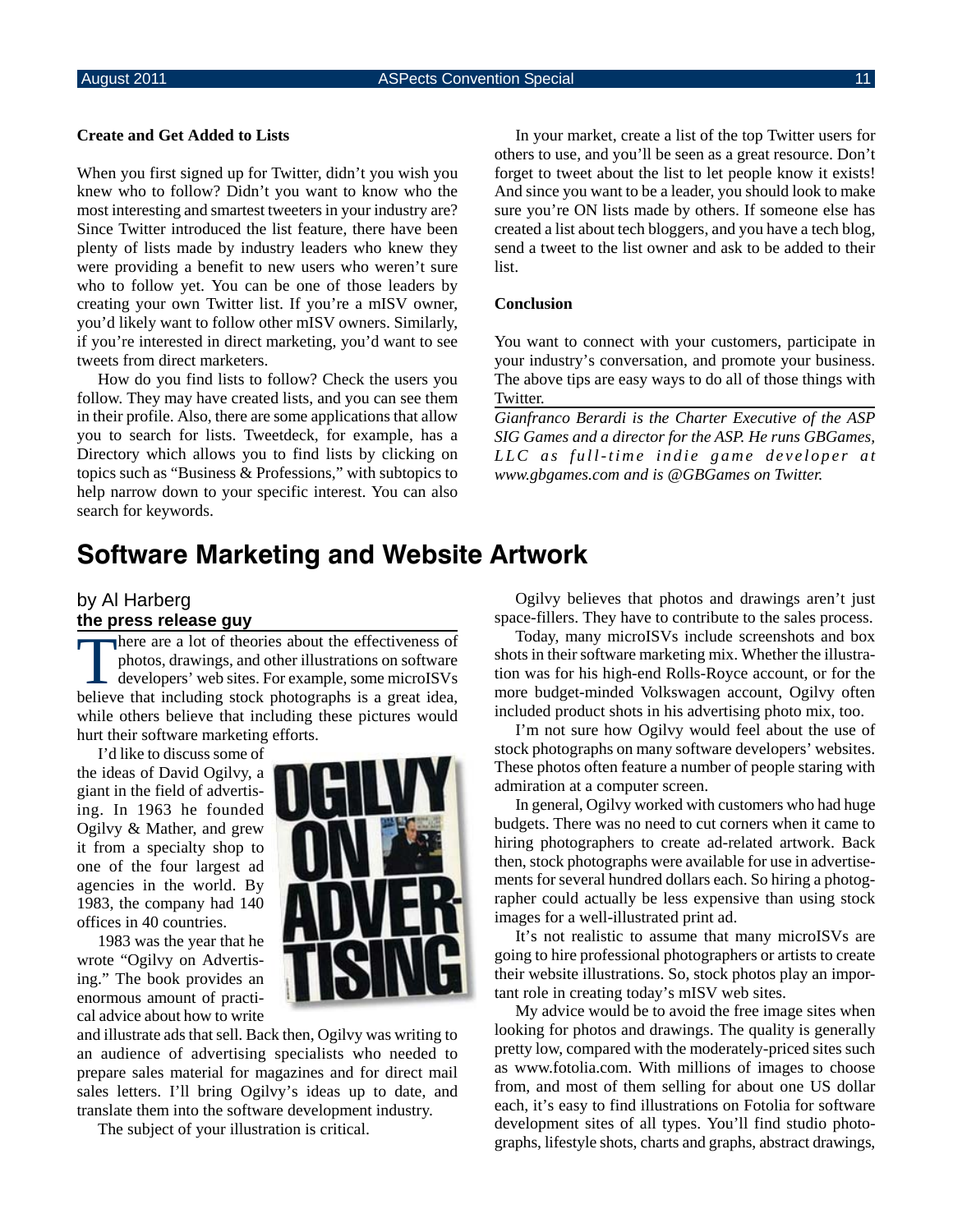#### **Create and Get Added to Lists**

When you first signed up for Twitter, didn't you wish you knew who to follow? Didn't you want to know who the most interesting and smartest tweeters in your industry are? Since Twitter introduced the list feature, there have been plenty of lists made by industry leaders who knew they were providing a benefit to new users who weren't sure who to follow yet. You can be one of those leaders by creating your own Twitter list. If you're a mISV owner, you'd likely want to follow other mISV owners. Similarly, if you're interested in direct marketing, you'd want to see tweets from direct marketers.

How do you find lists to follow? Check the users you follow. They may have created lists, and you can see them in their profile. Also, there are some applications that allow you to search for lists. Tweetdeck, for example, has a Directory which allows you to find lists by clicking on topics such as "Business & Professions," with subtopics to help narrow down to your specific interest. You can also search for keywords.

**Software Marketing and Website Artwork**

### by Al Harberg **the press release guy**

There are a lot of theories about the effectiveness of photos, drawings, and other illustrations on software developers' web sites. For example, some microISVs believe that including stock photographs is a great idea, while others believe that including these pictures would hurt their software marketing efforts.

I'd like to discuss some of the ideas of David Ogilvy, a giant in the field of advertising. In 1963 he founded Ogilvy & Mather, and grew it from a specialty shop to one of the four largest ad agencies in the world. By 1983, the company had 140 offices in 40 countries.

1983 was the year that he wrote "Ogilvy on Advertising." The book provides an enormous amount of practical advice about how to write



and illustrate ads that sell. Back then, Ogilvy was writing to an audience of advertising specialists who needed to prepare sales material for magazines and for direct mail sales letters. I'll bring Ogilvy's ideas up to date, and translate them into the software development industry.

The subject of your illustration is critical.

In your market, create a list of the top Twitter users for others to use, and you'll be seen as a great resource. Don't forget to tweet about the list to let people know it exists! And since you want to be a leader, you should look to make sure you're ON lists made by others. If someone else has created a list about tech bloggers, and you have a tech blog, send a tweet to the list owner and ask to be added to their list.

### **Conclusion**

You want to connect with your customers, participate in your industry's conversation, and promote your business. The above tips are easy ways to do all of those things with Twitter.

*Gianfranco Berardi is the Charter Executive of the ASP SIG Games and a director for the ASP. He runs GBGames, LLC as full-time indie game developer at [www.gbgames.com an](http://www.gbgames.com)d is @GBGames on Twitter.*

Ogilvy believes that photos and drawings aren't just space-fillers. They have to contribute to the sales process.

Today, many microISVs include screenshots and box shots in their software marketing mix. Whether the illustration was for his high-end Rolls-Royce account, or for the more budget-minded Volkswagen account, Ogilvy often included product shots in his advertising photo mix, too.

I'm not sure how Ogilvy would feel about the use of stock photographs on many software developers' websites. These photos often feature a number of people staring with admiration at a computer screen.

In general, Ogilvy worked with customers who had huge budgets. There was no need to cut corners when it came to hiring photographers to create ad-related artwork. Back then, stock photographs were available for use in advertisements for several hundred dollars each. So hiring a photographer could actually be less expensive than using stock images for a well-illustrated print ad.

It's not realistic to assume that many microISVs are going to hire professional photographers or artists to create their website illustrations. So, stock photos play an important role in creating today's mISV web sites.

My advice would be to avoid the free image sites when looking for photos and drawings. The quality is generally pretty low, compared with the moderately-priced sites such as [www.fotolia.com. W](http://www.fotolia.com)ith millions of images to choose from, and most of them selling for about one US dollar each, it's easy to find illustrations on Fotolia for software development sites of all types. You'll find studio photographs, lifestyle shots, charts and graphs, abstract drawings,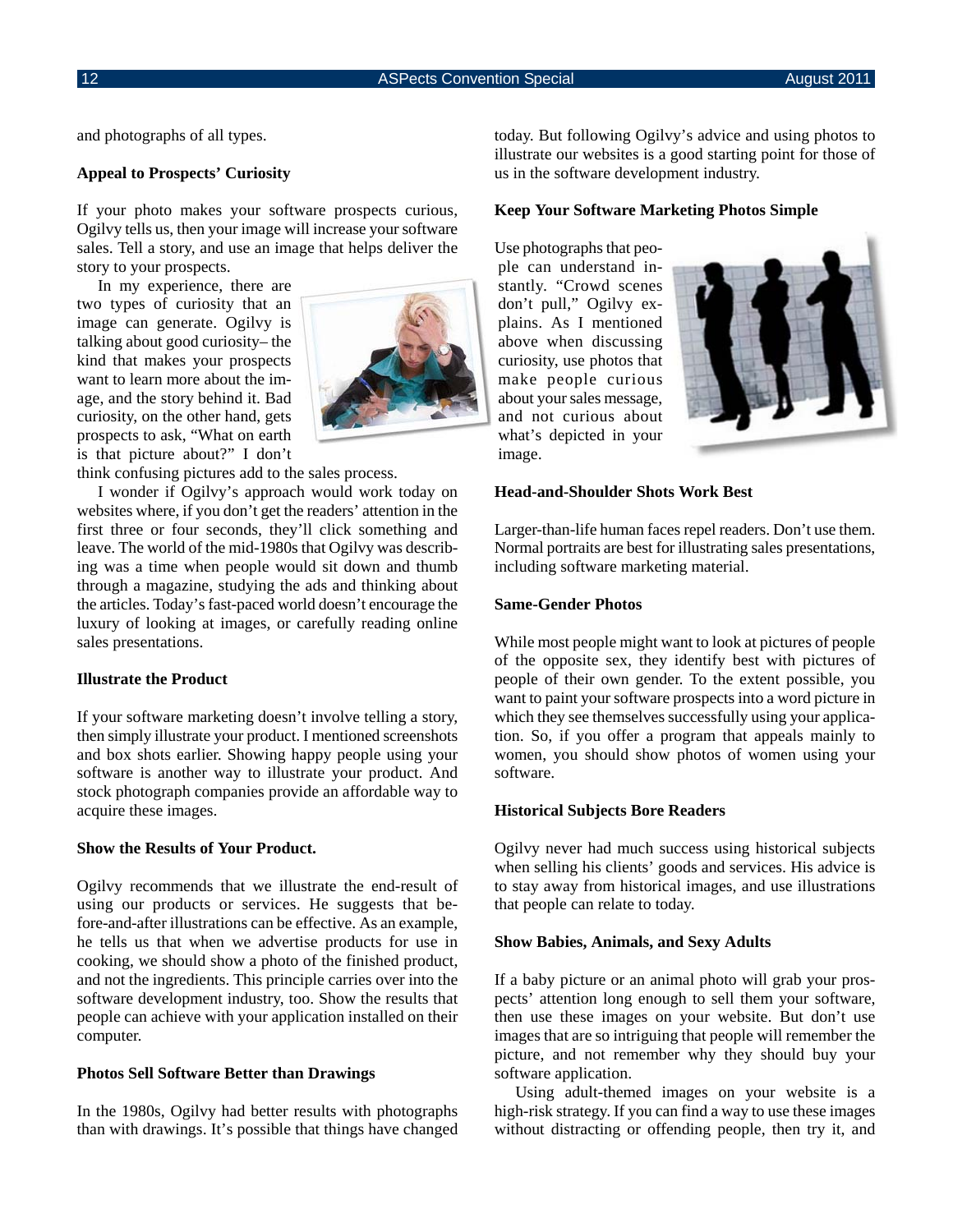and photographs of all types.

### **Appeal to Prospects' Curiosity**

If your photo makes your software prospects curious, Ogilvy tells us, then your image will increase your software sales. Tell a story, and use an image that helps deliver the story to your prospects.

In my experience, there are two types of curiosity that an image can generate. Ogilvy is talking about good curiosity– the kind that makes your prospects want to learn more about the image, and the story behind it. Bad curiosity, on the other hand, gets prospects to ask, "What on earth is that picture about?" I don't



think confusing pictures add to the sales process.

I wonder if Ogilvy's approach would work today on websites where, if you don't get the readers' attention in the first three or four seconds, they'll click something and leave. The world of the mid-1980s that Ogilvy was describing was a time when people would sit down and thumb through a magazine, studying the ads and thinking about the articles. Today's fast-paced world doesn't encourage the luxury of looking at images, or carefully reading online sales presentations.

### **Illustrate the Product**

If your software marketing doesn't involve telling a story, then simply illustrate your product. I mentioned screenshots and box shots earlier. Showing happy people using your software is another way to illustrate your product. And stock photograph companies provide an affordable way to acquire these images.

### **Show the Results of Your Product.**

Ogilvy recommends that we illustrate the end-result of using our products or services. He suggests that before-and-after illustrations can be effective. As an example, he tells us that when we advertise products for use in cooking, we should show a photo of the finished product, and not the ingredients. This principle carries over into the software development industry, too. Show the results that people can achieve with your application installed on their computer.

### **Photos Sell Software Better than Drawings**

In the 1980s, Ogilvy had better results with photographs than with drawings. It's possible that things have changed today. But following Ogilvy's advice and using photos to illustrate our websites is a good starting point for those of us in the software development industry.

#### **Keep Your Software Marketing Photos Simple**

Use photographs that people can understand instantly. "Crowd scenes don't pull," Ogilvy explains. As I mentioned above when discussing curiosity, use photos that make people curious about your sales message, and not curious about what's depicted in your image.



### **Head-and-Shoulder Shots Work Best**

Larger-than-life human faces repel readers. Don't use them. Normal portraits are best for illustrating sales presentations, including software marketing material.

### **Same-Gender Photos**

While most people might want to look at pictures of people of the opposite sex, they identify best with pictures of people of their own gender. To the extent possible, you want to paint your software prospects into a word picture in which they see themselves successfully using your application. So, if you offer a program that appeals mainly to women, you should show photos of women using your software.

### **Historical Subjects Bore Readers**

Ogilvy never had much success using historical subjects when selling his clients' goods and services. His advice is to stay away from historical images, and use illustrations that people can relate to today.

### **Show Babies, Animals, and Sexy Adults**

If a baby picture or an animal photo will grab your prospects' attention long enough to sell them your software, then use these images on your website. But don't use images that are so intriguing that people will remember the picture, and not remember why they should buy your software application.

Using adult-themed images on your website is a high-risk strategy. If you can find a way to use these images without distracting or offending people, then try it, and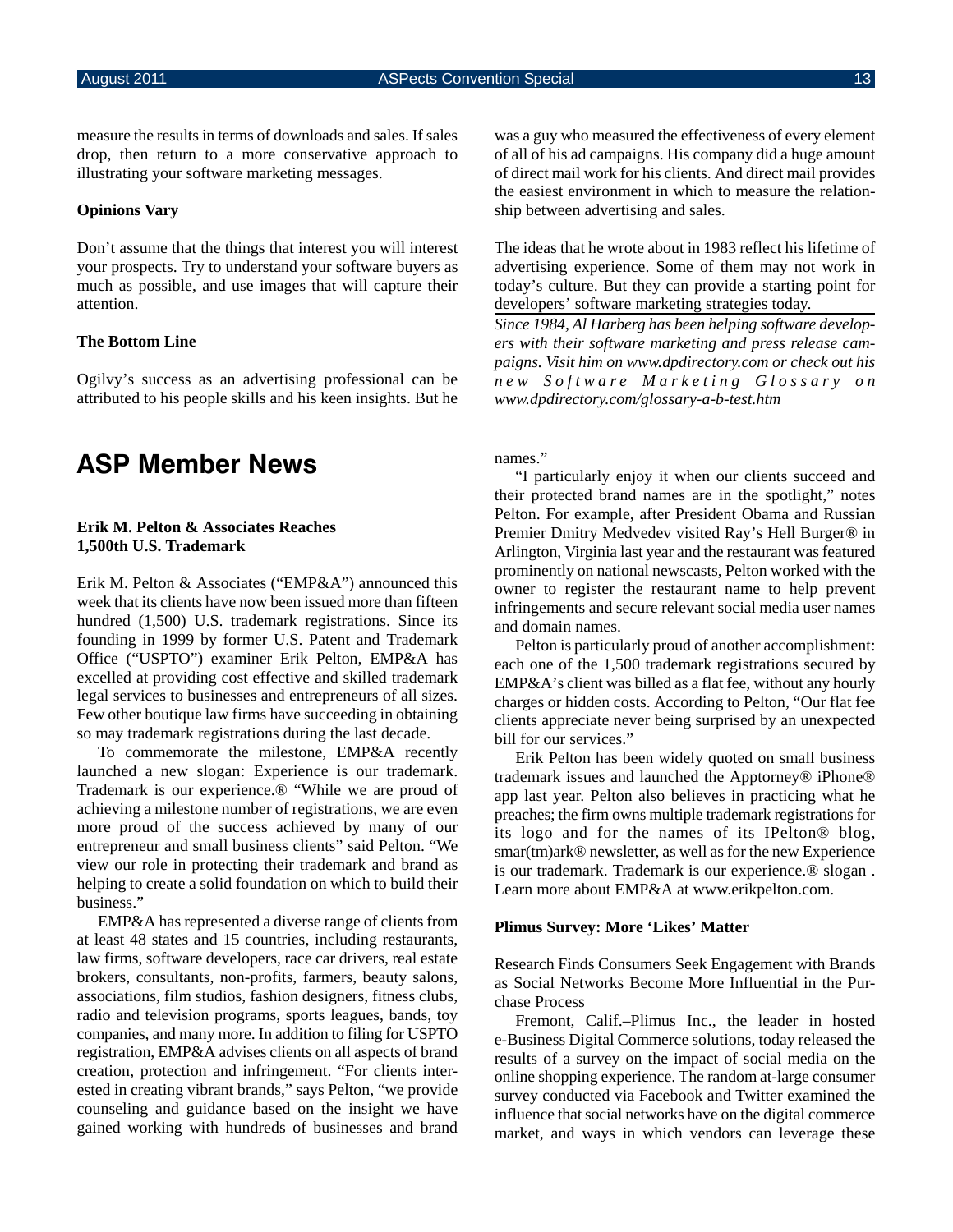measure the results in terms of downloads and sales. If sales drop, then return to a more conservative approach to illustrating your software marketing messages.

#### **Opinions Vary**

Don't assume that the things that interest you will interest your prospects. Try to understand your software buyers as much as possible, and use images that will capture their attention.

### **The Bottom Line**

Ogilvy's success as an advertising professional can be attributed to his people skills and his keen insights. But he

## **ASP Member News**

### **Erik M. Pelton & Associates Reaches 1,500th U.S. Trademark**

Erik M. Pelton & Associates ("EMP&A") announced this week that its clients have now been issued more than fifteen hundred (1,500) U.S. trademark registrations. Since its founding in 1999 by former U.S. Patent and Trademark Office ("USPTO") examiner Erik Pelton, EMP&A has excelled at providing cost effective and skilled trademark legal services to businesses and entrepreneurs of all sizes. Few other boutique law firms have succeeding in obtaining so may trademark registrations during the last decade.

To commemorate the milestone, EMP&A recently launched a new slogan: Experience is our trademark. Trademark is our experience.® "While we are proud of achieving a milestone number of registrations, we are even more proud of the success achieved by many of our entrepreneur and small business clients" said Pelton. "We view our role in protecting their trademark and brand as helping to create a solid foundation on which to build their business."

EMP&A has represented a diverse range of clients from at least 48 states and 15 countries, including restaurants, law firms, software developers, race car drivers, real estate brokers, consultants, non-profits, farmers, beauty salons, associations, film studios, fashion designers, fitness clubs, radio and television programs, sports leagues, bands, toy companies, and many more. In addition to filing for USPTO registration, EMP&A advises clients on all aspects of brand creation, protection and infringement. "For clients interested in creating vibrant brands," says Pelton, "we provide counseling and guidance based on the insight we have gained working with hundreds of businesses and brand

was a guy who measured the effectiveness of every element of all of his ad campaigns. His company did a huge amount of direct mail work for his clients. And direct mail provides the easiest environment in which to measure the relationship between advertising and sales.

The ideas that he wrote about in 1983 reflect his lifetime of advertising experience. Some of them may not work in today's culture. But they can provide a starting point for developers' software marketing strategies today.

*Since 1984, Al Harberg has been helping software developers with their software marketing and press release campaigns. Visit him on [www.dpdirectory.com or](http://www.dpdirectory.com) check out his new Software Marketing Glossary on [www.dpdirectory.com/glossary-a-b-test.htm](http://www.dpdirectory.com/glossary-a-b-test.htm)* 

names."

"I particularly enjoy it when our clients succeed and their protected brand names are in the spotlight," notes Pelton. For example, after President Obama and Russian Premier Dmitry Medvedev visited Ray's Hell Burger® in Arlington, Virginia last year and the restaurant was featured prominently on national newscasts, Pelton worked with the owner to register the restaurant name to help prevent infringements and secure relevant social media user names and domain names.

Pelton is particularly proud of another accomplishment: each one of the 1,500 trademark registrations secured by EMP&A's client was billed as a flat fee, without any hourly charges or hidden costs. According to Pelton, "Our flat fee clients appreciate never being surprised by an unexpected bill for our services."

Erik Pelton has been widely quoted on small business trademark issues and launched the Apptorney® iPhone® app last year. Pelton also believes in practicing what he preaches; the firm owns multiple trademark registrations for its logo and for the names of its IPelton® blog, smar(tm)ark<sup>®</sup> newsletter, as well as for the new Experience is our trademark. Trademark is our experience.® slogan . Learn more about EMP&A at [www.erikpelton.com.](http://www.erikpelton.com) 

#### **Plimus Survey: More 'Likes' Matter**

Research Finds Consumers Seek Engagement with Brands as Social Networks Become More Influential in the Purchase Process

Fremont, Calif.–Plimus Inc., the leader in hosted e-Business Digital Commerce solutions, today released the results of a survey on the impact of social media on the online shopping experience. The random at-large consumer survey conducted via Facebook and Twitter examined the influence that social networks have on the digital commerce market, and ways in which vendors can leverage these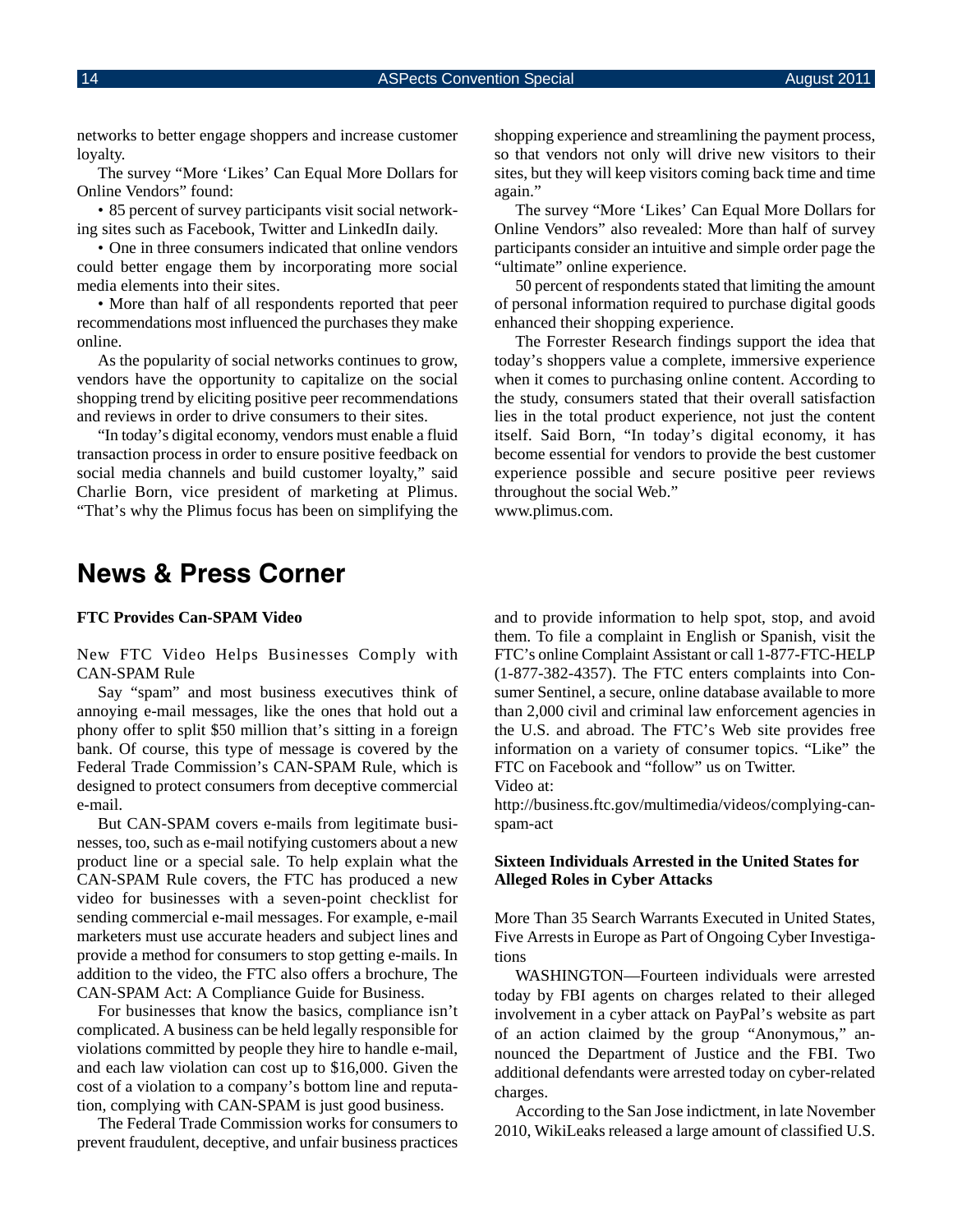networks to better engage shoppers and increase customer loyalty.

The survey "More 'Likes' Can Equal More Dollars for Online Vendors" found:

• 85 percent of survey participants visit social networking sites such as Facebook, Twitter and LinkedIn daily.

• One in three consumers indicated that online vendors could better engage them by incorporating more social media elements into their sites.

• More than half of all respondents reported that peer recommendations most influenced the purchases they make online.

As the popularity of social networks continues to grow, vendors have the opportunity to capitalize on the social shopping trend by eliciting positive peer recommendations and reviews in order to drive consumers to their sites.

"In today's digital economy, vendors must enable a fluid transaction process in order to ensure positive feedback on social media channels and build customer loyalty," said Charlie Born, vice president of marketing at Plimus. "That's why the Plimus focus has been on simplifying the

## **News & Press Corner**

### **FTC Provides Can-SPAM Video**

New FTC Video Helps Businesses Comply with CAN-SPAM Rule

Say "spam" and most business executives think of annoying e-mail messages, like the ones that hold out a phony offer to split \$50 million that's sitting in a foreign bank. Of course, this type of message is covered by the Federal Trade Commission's CAN-SPAM Rule, which is designed to protect consumers from deceptive commercial e-mail.

But CAN-SPAM covers e-mails from legitimate businesses, too, such as e-mail notifying customers about a new product line or a special sale. To help explain what the CAN-SPAM Rule covers, the FTC has produced a new video for businesses with a seven-point checklist for sending commercial e-mail messages. For example, e-mail marketers must use accurate headers and subject lines and provide a method for consumers to stop getting e-mails. In addition to the video, the FTC also offers a brochure, The CAN-SPAM Act: A Compliance Guide for Business.

For businesses that know the basics, compliance isn't complicated. A business can be held legally responsible for violations committed by people they hire to handle e-mail, and each law violation can cost up to \$16,000. Given the cost of a violation to a company's bottom line and reputation, complying with CAN-SPAM is just good business.

The Federal Trade Commission works for consumers to prevent fraudulent, deceptive, and unfair business practices shopping experience and streamlining the payment process, so that vendors not only will drive new visitors to their sites, but they will keep visitors coming back time and time again."

The survey "More 'Likes' Can Equal More Dollars for Online Vendors" also revealed: More than half of survey participants consider an intuitive and simple order page the "ultimate" online experience.

50 percent of respondents stated that limiting the amount of personal information required to purchase digital goods enhanced their shopping experience.

The Forrester Research findings support the idea that today's shoppers value a complete, immersive experience when it comes to purchasing online content. According to the study, consumers stated that their overall satisfaction lies in the total product experience, not just the content itself. Said Born, "In today's digital economy, it has become essential for vendors to provide the best customer experience possible and secure positive peer reviews throughout the social Web." [www.plimus.com.](http://www.plimus.com) 

and to provide information to help spot, stop, and avoid them. To file a complaint in English or Spanish, visit the FTC's online Complaint Assistant or call 1-877-FTC-HELP (1-877-382-4357). The FTC enters complaints into Consumer Sentinel, a secure, online database available to more than 2,000 civil and criminal law enforcement agencies in the U.S. and abroad. The FTC's Web site provides free information on a variety of consumer topics. "Like" the FTC on Facebook and "follow" us on Twitter. Video at:

[http://business.ftc.gov/multimedia/videos/complying-can](http://business.ftc.gov/multimedia/videos/complying-can-spam-act)spam[-act](http://business.ftc.gov/multimedia/videos/complying-can-spam-act)

### **Sixteen Individuals Arrested in the United States for Alleged Roles in Cyber Attacks**

More Than 35 Search Warrants Executed in United States, Five Arrests in Europe as Part of Ongoing Cyber Investigations

WASHINGTON—Fourteen individuals were arrested today by FBI agents on charges related to their alleged involvement in a cyber attack on PayPal's website as part of an action claimed by the group "Anonymous," announced the Department of Justice and the FBI. Two additional defendants were arrested today on cyber-related charges.

According to the San Jose indictment, in late November 2010, WikiLeaks released a large amount of classified U.S.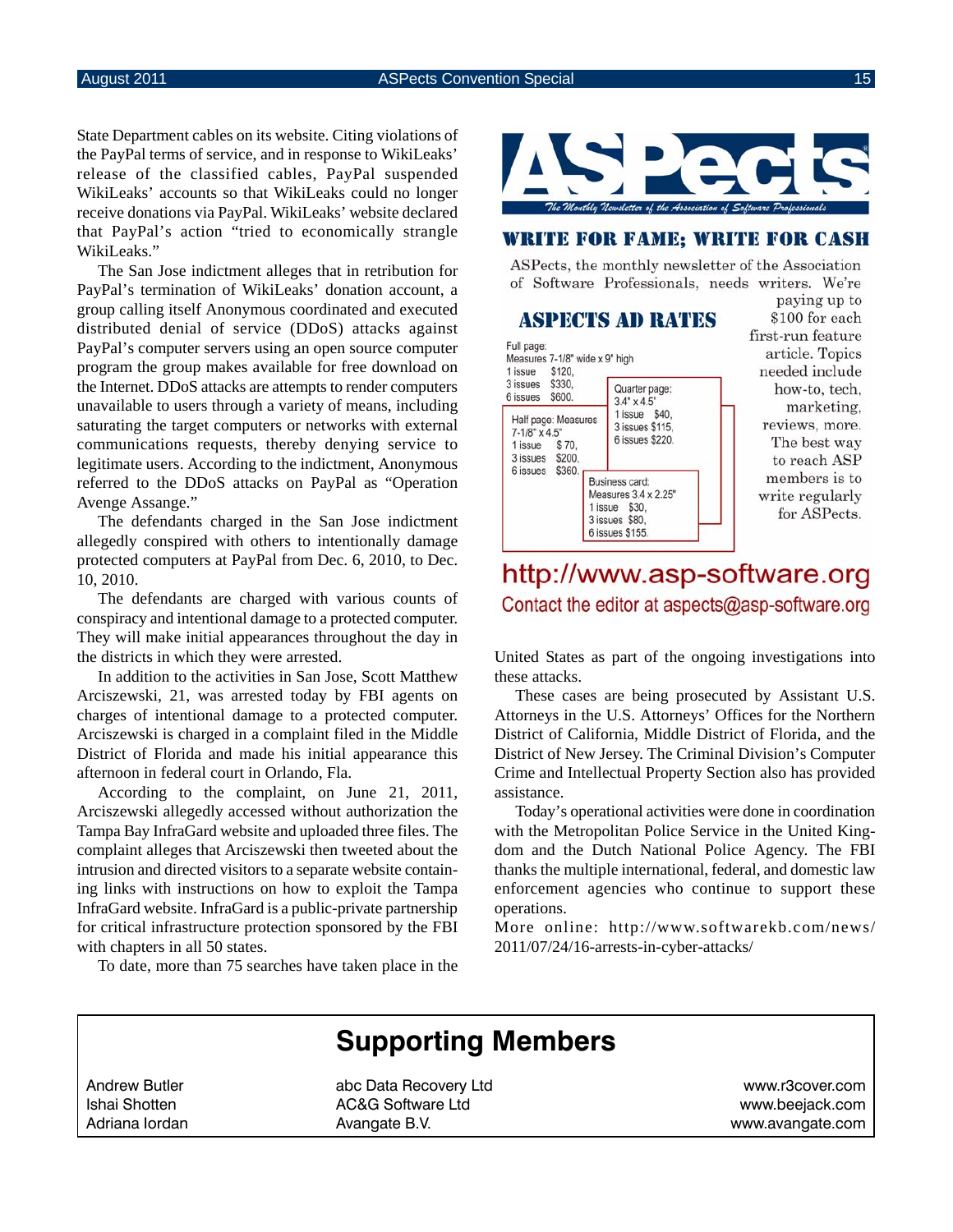State Department cables on its website. Citing violations of the PayPal terms of service, and in response to WikiLeaks' release of the classified cables, PayPal suspended WikiLeaks' accounts so that WikiLeaks could no longer receive donations via PayPal. WikiLeaks' website declared that PayPal's action "tried to economically strangle WikiLeaks."

The San Jose indictment alleges that in retribution for PayPal's termination of WikiLeaks' donation account, a group calling itself Anonymous coordinated and executed distributed denial of service (DDoS) attacks against PayPal's computer servers using an open source computer program the group makes available for free download on the Internet. DDoS attacks are attempts to render computers unavailable to users through a variety of means, including saturating the target computers or networks with external communications requests, thereby denying service to legitimate users. According to the indictment, Anonymous referred to the DDoS attacks on PayPal as "Operation Avenge Assange."

The defendants charged in the San Jose indictment allegedly conspired with others to intentionally damage protected computers at PayPal from Dec. 6, 2010, to Dec. 10, 2010.

The defendants are charged with various counts of conspiracy and intentional damage to a protected computer. They will make initial appearances throughout the day in the districts in which they were arrested.

In addition to the activities in San Jose, Scott Matthew Arciszewski, 21, was arrested today by FBI agents on charges of intentional damage to a protected computer. Arciszewski is charged in a complaint filed in the Middle District of Florida and made his initial appearance this afternoon in federal court in Orlando, Fla.

According to the complaint, on June 21, 2011, Arciszewski allegedly accessed without authorization the Tampa Bay InfraGard website and uploaded three files. The complaint alleges that Arciszewski then tweeted about the intrusion and directed visitors to a separate website containing links with instructions on how to exploit the Tampa InfraGard website. InfraGard is a public-private partnership for critical infrastructure protection sponsored by the FBI with chapters in all 50 states.

To date, more than 75 searches have taken place in the



### **WRITE FOR FAME; WRITE FOR CASH**

ASPects, the monthly newsletter of the Association of Software Professionals, needs writers. We're

### **ASPECTS AD RATES**

Full page: Measures 7-1/8" wide x 9" high 1 issue \$120. 3 issues \$330 Quarter page: 6 issues \$600  $3.4" \times 4.5"$ 1 issue \$40, Half page: Measures 3 issues \$115,  $7 - 1/8" \times 4.5"$ 6 issues \$220 \$70. 1 issue \$200 3 issues *<u><u>Gissues</u>*</u> \$360 Business card: Measures 3.4 x 2.25' 1 issue \$30. 3 issues \$80 6 issues \$155

paying up to \$100 for each first-run feature article. Topics needed include how-to, tech, marketing. reviews, more. The best way to reach ASP members is to write regularly for ASPects.

## http://www.asp-software.org Contact the editor at aspects@asp-software.org

United States as part of the ongoing investigations into these attacks.

These cases are being prosecuted by Assistant U.S. Attorneys in the U.S. Attorneys' Offices for the Northern District of California, Middle District of Florida, and the District of New Jersey. The Criminal Division's Computer Crime and Intellectual Property Section also has provided assistance.

Today's operational activities were done in coordination with the Metropolitan Police Service in the United Kingdom and the Dutch National Police Agency. The FBI thanks the multiple international, federal, and domestic law enforcement agencies who continue to support these operations.

[More online: http://www.softwarekb.com/news/](http://www.softwarekb.com/news/2011/07/24/16-arrests-in-cyber-attacks/) 2011/07/24/16-arrests-in-cyber-attacks/

# **Supporting Members** Andrew Butler **abc Data Recovery Ltd** and the [www.r3cover.com](http://www.r3cover.com) Ishai Shotten AC&G Software Ltd [www.beejack.com](http://www.beejack.com) Adriana Iordan **Auxiliana Avangate B.V.** Www.avangate.com